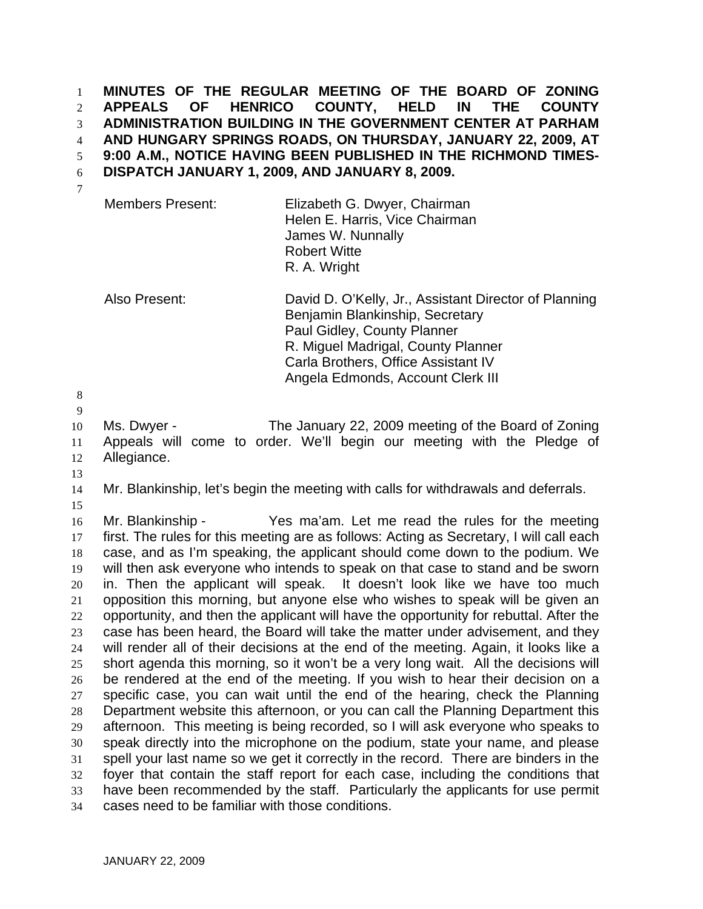**MINUTES OF THE REGULAR MEETING OF THE BOARD OF ZONING APPEALS OF HENRICO COUNTY, HELD IN THE COUNTY ADMINISTRATION BUILDING IN THE GOVERNMENT CENTER AT PARHAM AND HUNGARY SPRINGS ROADS, ON THURSDAY, JANUARY 22, 2009, AT 9:00 A.M., NOTICE HAVING BEEN PUBLISHED IN THE RICHMOND TIMES-DISPATCH JANUARY 1, 2009, AND JANUARY 8, 2009.**  1 2 3 4 5 6

7

Members Present: Elizabeth G. Dwyer, Chairman Helen E. Harris, Vice Chairman James W. Nunnally Robert Witte R. A. Wright

Also Present: David D. O'Kelly, Jr., Assistant Director of Planning Benjamin Blankinship, Secretary Paul Gidley, County Planner R. Miguel Madrigal, County Planner Carla Brothers, Office Assistant IV Angela Edmonds, Account Clerk III

8

9

10 11 12 Ms. Dwyer - The January 22, 2009 meeting of the Board of Zoning Appeals will come to order. We'll begin our meeting with the Pledge of Allegiance.

- 13
- 14 15

Mr. Blankinship, let's begin the meeting with calls for withdrawals and deferrals.

16 17 18 19 20 21 22 23 24 25 26 27 28 29 30 31 32 33 34 Mr. Blankinship - Yes ma'am. Let me read the rules for the meeting first. The rules for this meeting are as follows: Acting as Secretary, I will call each case, and as I'm speaking, the applicant should come down to the podium. We will then ask everyone who intends to speak on that case to stand and be sworn in. Then the applicant will speak. It doesn't look like we have too much opposition this morning, but anyone else who wishes to speak will be given an opportunity, and then the applicant will have the opportunity for rebuttal. After the case has been heard, the Board will take the matter under advisement, and they will render all of their decisions at the end of the meeting. Again, it looks like a short agenda this morning, so it won't be a very long wait. All the decisions will be rendered at the end of the meeting. If you wish to hear their decision on a specific case, you can wait until the end of the hearing, check the Planning Department website this afternoon, or you can call the Planning Department this afternoon. This meeting is being recorded, so I will ask everyone who speaks to speak directly into the microphone on the podium, state your name, and please spell your last name so we get it correctly in the record. There are binders in the foyer that contain the staff report for each case, including the conditions that have been recommended by the staff. Particularly the applicants for use permit cases need to be familiar with those conditions.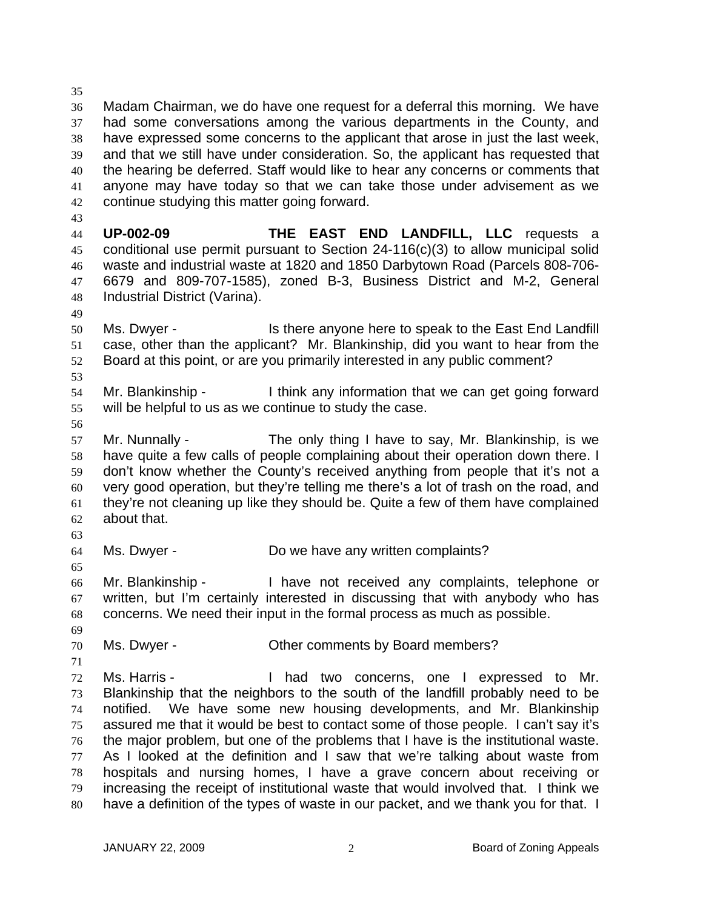35 36 37 38 39 40 41 42 Madam Chairman, we do have one request for a deferral this morning. We have had some conversations among the various departments in the County, and have expressed some concerns to the applicant that arose in just the last week, and that we still have under consideration. So, the applicant has requested that the hearing be deferred. Staff would like to hear any concerns or comments that anyone may have today so that we can take those under advisement as we continue studying this matter going forward.

43

49

44 45 46 47 48 **UP-002-09 THE EAST END LANDFILL, LLC** requests a conditional use permit pursuant to Section 24-116(c)(3) to allow municipal solid waste and industrial waste at 1820 and 1850 Darbytown Road (Parcels 808-706- 6679 and 809-707-1585), zoned B-3, Business District and M-2, General Industrial District (Varina).

- 50 51 52 Ms. Dwyer - Is there anyone here to speak to the East End Landfill case, other than the applicant? Mr. Blankinship, did you want to hear from the Board at this point, or are you primarily interested in any public comment?
- 54 55 Mr. Blankinship - I think any information that we can get going forward will be helpful to us as we continue to study the case.
- 56

53

57 58 59 60 61 62 Mr. Nunnally - The only thing I have to say, Mr. Blankinship, is we have quite a few calls of people complaining about their operation down there. I don't know whether the County's received anything from people that it's not a very good operation, but they're telling me there's a lot of trash on the road, and they're not cleaning up like they should be. Quite a few of them have complained about that.

63 64

65

Ms. Dwyer - Do we have any written complaints?

66 67 68 Mr. Blankinship - I have not received any complaints, telephone or written, but I'm certainly interested in discussing that with anybody who has concerns. We need their input in the formal process as much as possible.

69 70 Ms. Dwyer - Cher comments by Board members?

71 72 73 74 75 76 77 78 79 80 Ms. Harris - Thad two concerns, one I expressed to Mr. Blankinship that the neighbors to the south of the landfill probably need to be notified. We have some new housing developments, and Mr. Blankinship assured me that it would be best to contact some of those people. I can't say it's the major problem, but one of the problems that I have is the institutional waste. As I looked at the definition and I saw that we're talking about waste from hospitals and nursing homes, I have a grave concern about receiving or increasing the receipt of institutional waste that would involved that. I think we have a definition of the types of waste in our packet, and we thank you for that. I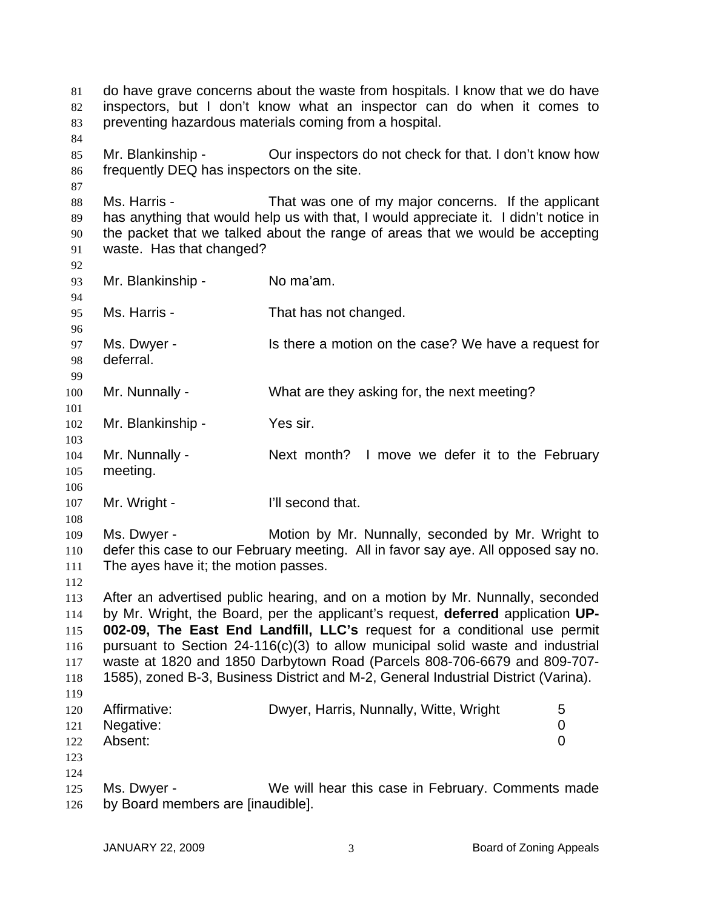do have grave concerns about the waste from hospitals. I know that we do have inspectors, but I don't know what an inspector can do when it comes to preventing hazardous materials coming from a hospital. 81 82 83 84 85 86 87 88 89 90 91 92 93 94 95 96 97 98 99 100 101 102 103 104 105 106 107 108 109 110 111 112 113 114 115 116 117 118 119 120 121 122 123 124 125 126 Mr. Blankinship - Our inspectors do not check for that. I don't know how frequently DEQ has inspectors on the site. Ms. Harris - That was one of my major concerns. If the applicant has anything that would help us with that, I would appreciate it. I didn't notice in the packet that we talked about the range of areas that we would be accepting waste. Has that changed? Mr. Blankinship - No ma'am. Ms. Harris - That has not changed. Ms. Dwyer - Is there a motion on the case? We have a request for deferral. Mr. Nunnally - What are they asking for, the next meeting? Mr. Blankinship - Yes sir. Mr. Nunnally - Next month? I move we defer it to the February meeting. Mr. Wright - The Music Conditional Politics and that. Ms. Dwyer - Motion by Mr. Nunnally, seconded by Mr. Wright to defer this case to our February meeting. All in favor say aye. All opposed say no. The ayes have it; the motion passes. After an advertised public hearing, and on a motion by Mr. Nunnally, seconded by Mr. Wright, the Board, per the applicant's request, **deferred** application **UP-002-09, The East End Landfill, LLC's** request for a conditional use permit pursuant to Section 24-116(c)(3) to allow municipal solid waste and industrial waste at 1820 and 1850 Darbytown Road (Parcels 808-706-6679 and 809-707- 1585), zoned B-3, Business District and M-2, General Industrial District (Varina). Affirmative: Dwyer, Harris, Nunnally, Witte, Wright 5 Negative: 0 Absent: 0 Ms. Dwyer - We will hear this case in February. Comments made by Board members are [inaudible].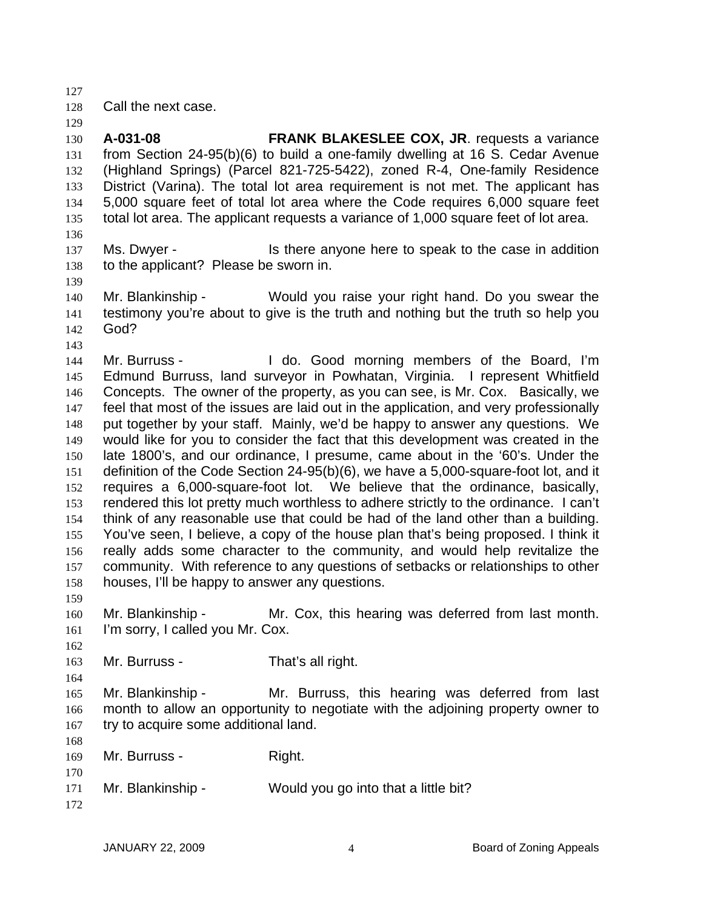127

129

128 Call the next case.

130 131 132 133 134 135 136 **A-031-08 FRANK BLAKESLEE COX, JR**. requests a variance from Section 24-95(b)(6) to build a one-family dwelling at 16 S. Cedar Avenue (Highland Springs) (Parcel 821-725-5422), zoned R-4, One-family Residence District (Varina). The total lot area requirement is not met. The applicant has 5,000 square feet of total lot area where the Code requires 6,000 square feet total lot area. The applicant requests a variance of 1,000 square feet of lot area.

- 137 138 Ms. Dwyer - The sthere anyone here to speak to the case in addition to the applicant? Please be sworn in.
- 139 140

Mr. Blankinship - Would you raise your right hand. Do you swear the testimony you're about to give is the truth and nothing but the truth so help you

- 141 142 God?
- 143

144 145 146 147 148 149 150 151 152 153 154 155 156 157 158 Mr. Burruss - The Moldo. Good morning members of the Board, I'm Edmund Burruss, land surveyor in Powhatan, Virginia. I represent Whitfield Concepts. The owner of the property, as you can see, is Mr. Cox. Basically, we feel that most of the issues are laid out in the application, and very professionally put together by your staff. Mainly, we'd be happy to answer any questions. We would like for you to consider the fact that this development was created in the late 1800's, and our ordinance, I presume, came about in the '60's. Under the definition of the Code Section 24-95(b)(6), we have a 5,000-square-foot lot, and it requires a 6,000-square-foot lot. We believe that the ordinance, basically, rendered this lot pretty much worthless to adhere strictly to the ordinance. I can't think of any reasonable use that could be had of the land other than a building. You've seen, I believe, a copy of the house plan that's being proposed. I think it really adds some character to the community, and would help revitalize the community. With reference to any questions of setbacks or relationships to other houses, I'll be happy to answer any questions.

160 161 Mr. Blankinship - Mr. Cox, this hearing was deferred from last month. I'm sorry, I called you Mr. Cox.

163 Mr. Burruss - That's all right.

165 166 167 Mr. Blankinship - Mr. Burruss, this hearing was deferred from last month to allow an opportunity to negotiate with the adjoining property owner to try to acquire some additional land.

169 170 Mr. Burruss - Right.

- 171 Mr. Blankinship - Would you go into that a little bit?
- 172

159

162

164

168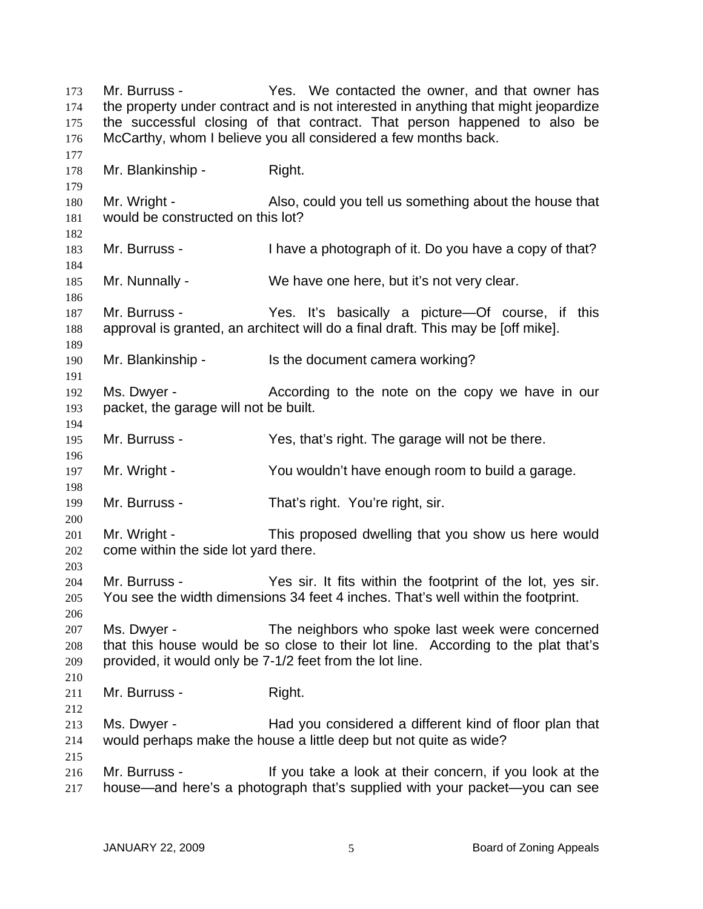Mr. Burruss - Yes. We contacted the owner, and that owner has the property under contract and is not interested in anything that might jeopardize the successful closing of that contract. That person happened to also be McCarthy, whom I believe you all considered a few months back. 173 174 175 176 177 178 179 180 181 182 183 184 185 186 187 188 189 190 191 192 193 194 195 196 197 198 199 200 201 202 203 204 205 206 207 208 209 210 211 212 213 214 215 216 217 Mr. Blankinship - Right. Mr. Wright - Also, could you tell us something about the house that would be constructed on this lot? Mr. Burruss - Thave a photograph of it. Do you have a copy of that? Mr. Nunnally - We have one here, but it's not very clear. Mr. Burruss - Yes. It's basically a picture—Of course, if this approval is granted, an architect will do a final draft. This may be [off mike]. Mr. Blankinship - Is the document camera working? Ms. Dwyer - According to the note on the copy we have in our packet, the garage will not be built. Mr. Burruss - The Yes, that's right. The garage will not be there. Mr. Wright - You wouldn't have enough room to build a garage. Mr. Burruss - That's right. You're right, sir. Mr. Wright - This proposed dwelling that you show us here would come within the side lot yard there. Mr. Burruss - Yes sir. It fits within the footprint of the lot, yes sir. You see the width dimensions 34 feet 4 inches. That's well within the footprint. Ms. Dwyer - The neighbors who spoke last week were concerned that this house would be so close to their lot line. According to the plat that's provided, it would only be 7-1/2 feet from the lot line. Mr. Burruss - Right. Ms. Dwyer - Had you considered a different kind of floor plan that would perhaps make the house a little deep but not quite as wide? Mr. Burruss - The Music of their concern, if you look at the Music state of the state of the state of the state of the Surre Surre Surre Surre Surre Surre Surre Surre Surre Surre Surre Surre Surre Surre Surre Surre Surre S house—and here's a photograph that's supplied with your packet—you can see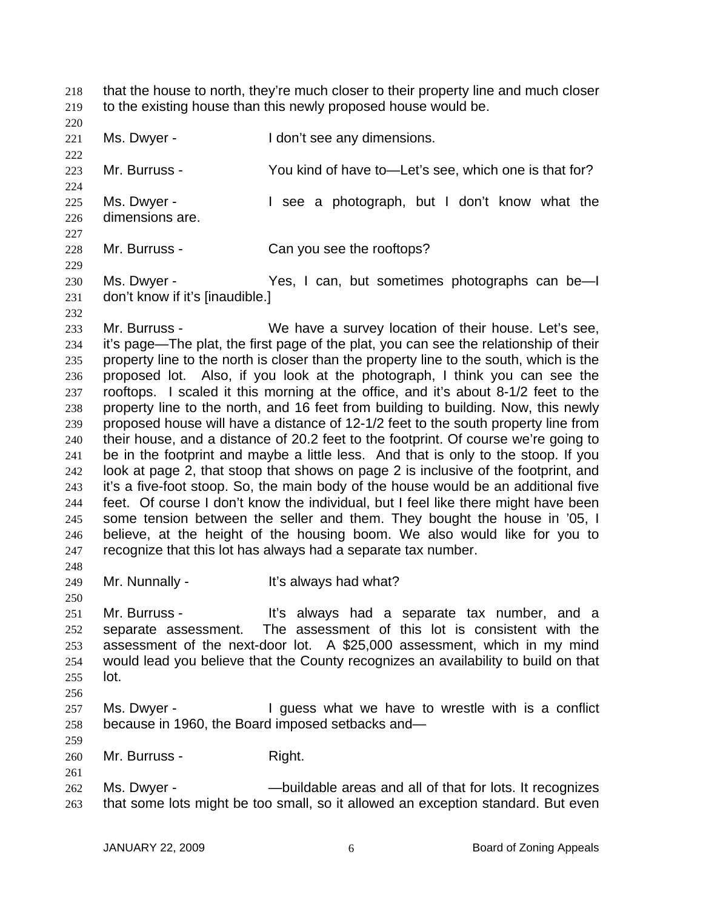that the house to north, they're much closer to their property line and much closer to the existing house than this newly proposed house would be. 218 219

220 221

Ms. Dwyer - The Mon't see any dimensions.

222 223 224 225 Mr. Burruss - You kind of have to—Let's see, which one is that for? Ms. Dwyer - I see a photograph, but I don't know what the

226 227 dimensions are.

228 229 Mr. Burruss - Can you see the rooftops?

230 231 Ms. Dwyer - Yes, I can, but sometimes photographs can be—I don't know if it's [inaudible.]

232

250

259

261

233 234 235 236 237 238 239 240 241 242 243 244 245 246 247 248 Mr. Burruss - We have a survey location of their house. Let's see, it's page—The plat, the first page of the plat, you can see the relationship of their property line to the north is closer than the property line to the south, which is the proposed lot. Also, if you look at the photograph, I think you can see the rooftops. I scaled it this morning at the office, and it's about 8-1/2 feet to the property line to the north, and 16 feet from building to building. Now, this newly proposed house will have a distance of 12-1/2 feet to the south property line from their house, and a distance of 20.2 feet to the footprint. Of course we're going to be in the footprint and maybe a little less. And that is only to the stoop. If you look at page 2, that stoop that shows on page 2 is inclusive of the footprint, and it's a five-foot stoop. So, the main body of the house would be an additional five feet. Of course I don't know the individual, but I feel like there might have been some tension between the seller and them. They bought the house in '05, I believe, at the height of the housing boom. We also would like for you to recognize that this lot has always had a separate tax number.

249 Mr. Nunnally - The Muslim Collection Communist Muslim Muslim Muslim Muslim Muslim Muslim Muslim Muslim Muslim Mu

251 252 253 254 255 256 Mr. Burruss - The Music always had a separate tax number, and a separate assessment. The assessment of this lot is consistent with the assessment of the next-door lot. A \$25,000 assessment, which in my mind would lead you believe that the County recognizes an availability to build on that lot.

257 258 Ms. Dwyer - The Universe what we have to wrestle with is a conflict because in 1960, the Board imposed setbacks and—

260 Mr. Burruss - Right.

262 263 Ms. Dwyer - —buildable areas and all of that for lots. It recognizes that some lots might be too small, so it allowed an exception standard. But even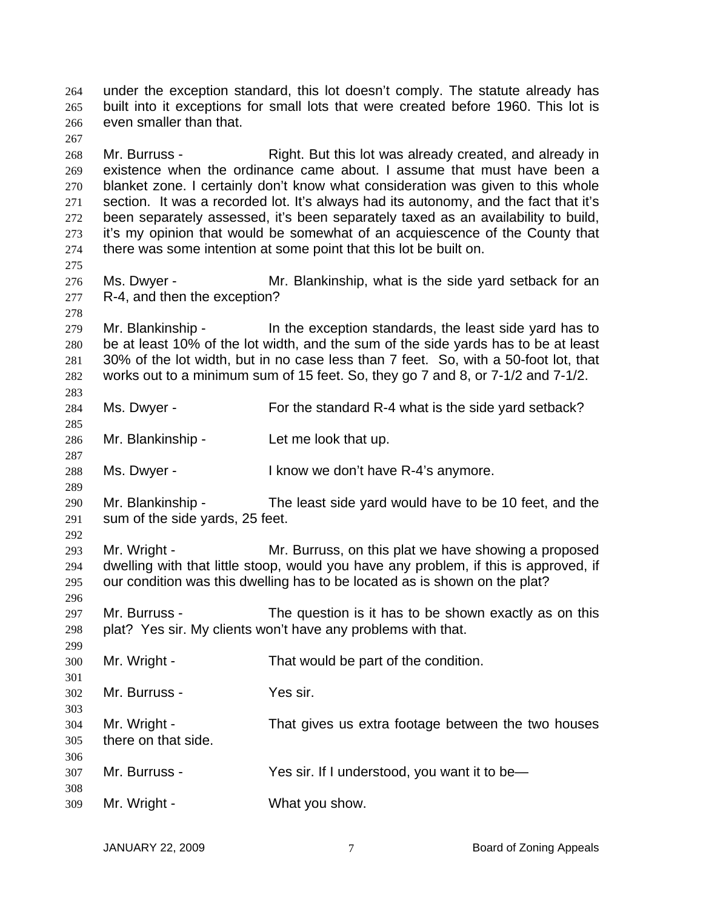under the exception standard, this lot doesn't comply. The statute already has built into it exceptions for small lots that were created before 1960. This lot is even smaller than that. 264 265 266 267 268 269 270 271 272 273 274 275 276 277 278 279 280 281 282 283 284 285 286 287 288 289 290 291 292 293 294 295 296 297 298 299 300 301 302 303 304 305 306 307 308 309 Mr. Burruss - **Right.** But this lot was already created, and already in existence when the ordinance came about. I assume that must have been a blanket zone. I certainly don't know what consideration was given to this whole section. It was a recorded lot. It's always had its autonomy, and the fact that it's been separately assessed, it's been separately taxed as an availability to build, it's my opinion that would be somewhat of an acquiescence of the County that there was some intention at some point that this lot be built on. Ms. Dwyer - The Mr. Blankinship, what is the side yard setback for an R-4, and then the exception? Mr. Blankinship - In the exception standards, the least side yard has to be at least 10% of the lot width, and the sum of the side yards has to be at least 30% of the lot width, but in no case less than 7 feet. So, with a 50-foot lot, that works out to a minimum sum of 15 feet. So, they go 7 and 8, or 7-1/2 and 7-1/2. Ms. Dwyer - For the standard R-4 what is the side yard setback? Mr. Blankinship - Let me look that up. Ms. Dwyer - I know we don't have R-4's anymore. Mr. Blankinship - The least side yard would have to be 10 feet, and the sum of the side yards, 25 feet. Mr. Wright - Mr. Burruss, on this plat we have showing a proposed dwelling with that little stoop, would you have any problem, if this is approved, if our condition was this dwelling has to be located as is shown on the plat? Mr. Burruss - The question is it has to be shown exactly as on this plat? Yes sir. My clients won't have any problems with that. Mr. Wright - That would be part of the condition. Mr. Burruss - Yes sir. Mr. Wright - That gives us extra footage between the two houses there on that side. Mr. Burruss - Yes sir. If I understood, you want it to be— Mr. Wright - What you show.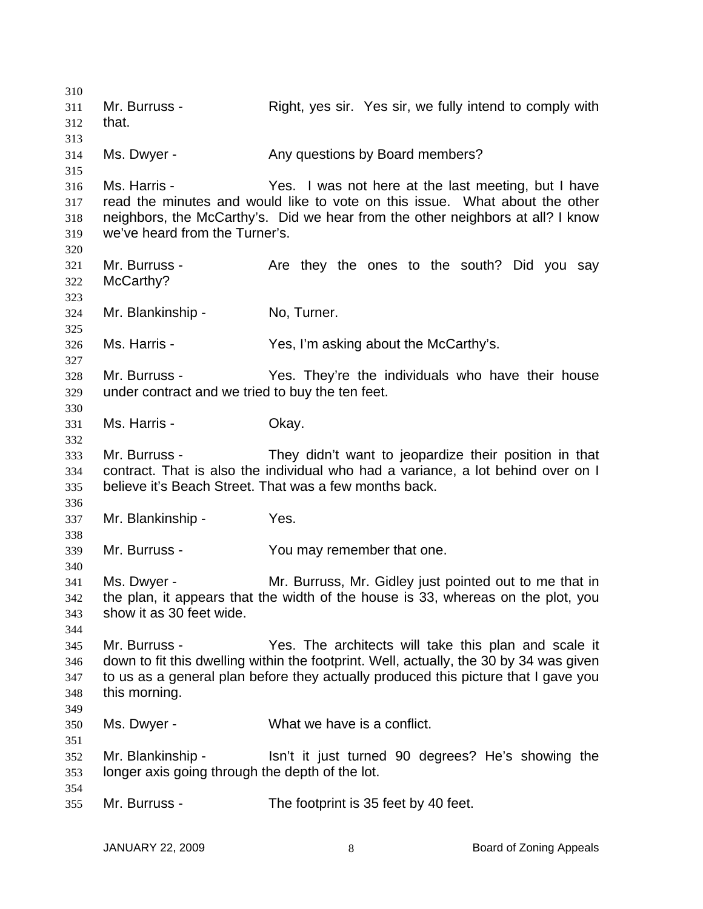| 310 |                                                  |                                                                                        |
|-----|--------------------------------------------------|----------------------------------------------------------------------------------------|
| 311 | Mr. Burruss -                                    | Right, yes sir. Yes sir, we fully intend to comply with                                |
| 312 | that.                                            |                                                                                        |
| 313 |                                                  |                                                                                        |
| 314 | Ms. Dwyer -                                      | Any questions by Board members?                                                        |
| 315 |                                                  |                                                                                        |
| 316 | Ms. Harris -                                     | Yes. I was not here at the last meeting, but I have                                    |
| 317 |                                                  | read the minutes and would like to vote on this issue. What about the other            |
| 318 |                                                  | neighbors, the McCarthy's. Did we hear from the other neighbors at all? I know         |
| 319 | we've heard from the Turner's.                   |                                                                                        |
| 320 |                                                  |                                                                                        |
| 321 | Mr. Burruss -                                    | Are they the ones to the south? Did you say                                            |
| 322 | McCarthy?                                        |                                                                                        |
| 323 |                                                  |                                                                                        |
| 324 | Mr. Blankinship -                                | No, Turner.                                                                            |
| 325 |                                                  |                                                                                        |
| 326 | Ms. Harris -                                     | Yes, I'm asking about the McCarthy's.                                                  |
| 327 |                                                  |                                                                                        |
| 328 | Mr. Burruss -                                    | Yes. They're the individuals who have their house                                      |
| 329 | under contract and we tried to buy the ten feet. |                                                                                        |
| 330 |                                                  |                                                                                        |
| 331 | Ms. Harris -                                     | Okay.                                                                                  |
| 332 |                                                  |                                                                                        |
| 333 | Mr. Burruss -                                    | They didn't want to jeopardize their position in that                                  |
| 334 |                                                  | contract. That is also the individual who had a variance, a lot behind over on I       |
| 335 |                                                  | believe it's Beach Street. That was a few months back.                                 |
| 336 |                                                  |                                                                                        |
| 337 | Mr. Blankinship -                                | Yes.                                                                                   |
| 338 |                                                  |                                                                                        |
| 339 | Mr. Burruss -                                    | You may remember that one.                                                             |
| 340 |                                                  |                                                                                        |
| 341 | Ms. Dwyer -                                      | Mr. Burruss, Mr. Gidley just pointed out to me that in                                 |
| 342 |                                                  | the plan, it appears that the width of the house is 33, whereas on the plot, you       |
| 343 | show it as 30 feet wide.                         |                                                                                        |
| 344 |                                                  |                                                                                        |
| 345 | Mr. Burruss -                                    | Yes. The architects will take this plan and scale it                                   |
| 346 |                                                  | down to fit this dwelling within the footprint. Well, actually, the 30 by 34 was given |
| 347 |                                                  | to us as a general plan before they actually produced this picture that I gave you     |
| 348 | this morning.                                    |                                                                                        |
| 349 |                                                  |                                                                                        |
| 350 | Ms. Dwyer -                                      | What we have is a conflict.                                                            |
| 351 |                                                  |                                                                                        |
| 352 | Mr. Blankinship -                                | Isn't it just turned 90 degrees? He's showing the                                      |
| 353 | longer axis going through the depth of the lot.  |                                                                                        |
| 354 |                                                  |                                                                                        |
| 355 | Mr. Burruss -                                    | The footprint is 35 feet by 40 feet.                                                   |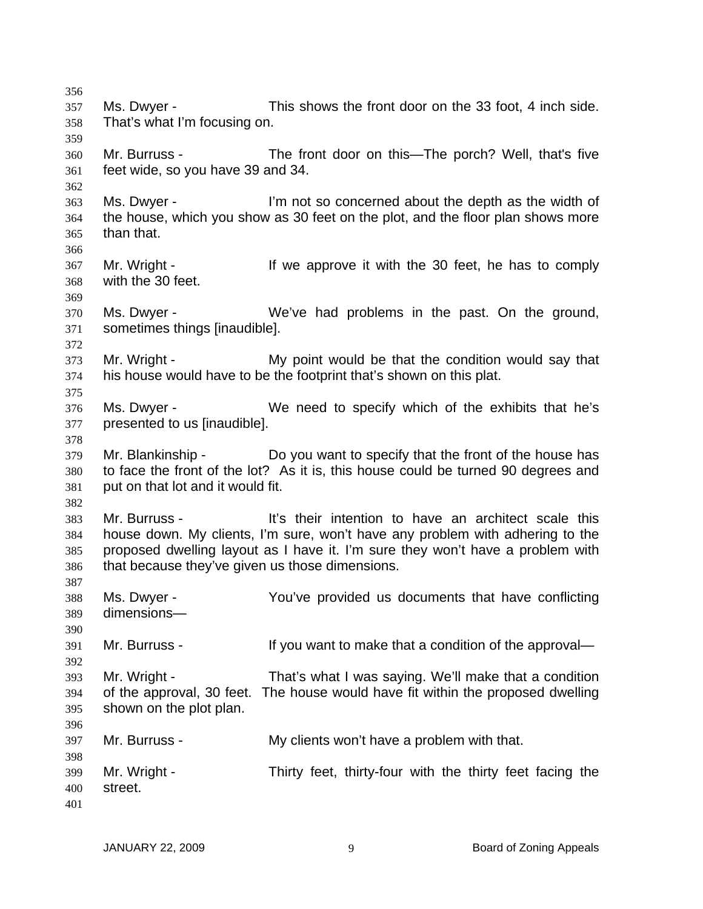356 357 358 359 360 361 362 363 364 365 366 367 368 369 370 371 372 373 374 375 376 377 378 379 380 381 382 383 384 385 386 387 388 389 390 391 392 393 394 395 396 397 398 399 400 401 Ms. Dwyer - This shows the front door on the 33 foot, 4 inch side. That's what I'm focusing on. Mr. Burruss - The front door on this—The porch? Well, that's five feet wide, so you have 39 and 34. Ms. Dwyer - I'm not so concerned about the depth as the width of the house, which you show as 30 feet on the plot, and the floor plan shows more than that. Mr. Wright - If we approve it with the 30 feet, he has to comply with the 30 feet. Ms. Dwyer - We've had problems in the past. On the ground, sometimes things [inaudible]. Mr. Wright - My point would be that the condition would say that his house would have to be the footprint that's shown on this plat. Ms. Dwyer - We need to specify which of the exhibits that he's presented to us [inaudible]. Mr. Blankinship - Do you want to specify that the front of the house has to face the front of the lot? As it is, this house could be turned 90 degrees and put on that lot and it would fit. Mr. Burruss - The It's their intention to have an architect scale this house down. My clients, I'm sure, won't have any problem with adhering to the proposed dwelling layout as I have it. I'm sure they won't have a problem with that because they've given us those dimensions. Ms. Dwyer - You've provided us documents that have conflicting dimensions— Mr. Burruss - The Music of the use of the approval— Mr. Wright - That's what I was saying. We'll make that a condition of the approval, 30 feet. The house would have fit within the proposed dwelling shown on the plot plan. Mr. Burruss - The My clients won't have a problem with that. Mr. Wright - Thirty feet, thirty-four with the thirty feet facing the street.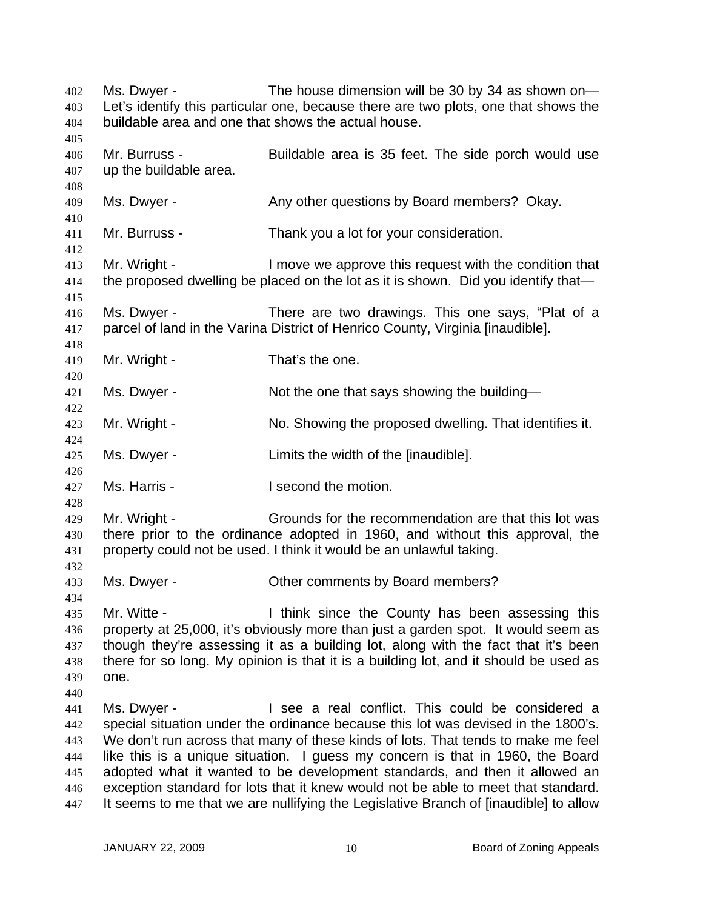Ms. Dwyer - The house dimension will be 30 by 34 as shown on— Let's identify this particular one, because there are two plots, one that shows the buildable area and one that shows the actual house. 402 403 404 405 406 407 408 409 410 411 412 413 414 415 416 417 418 419 420 421 422 423 424 425 426 427 428 429 430 431 432 433 434 435 436 437 438 439 440 441 442 443 444 445 446 447 Mr. Burruss - Buildable area is 35 feet. The side porch would use up the buildable area. Ms. Dwyer - Any other questions by Board members? Okay. Mr. Burruss - Thank you a lot for your consideration. Mr. Wright - I move we approve this request with the condition that the proposed dwelling be placed on the lot as it is shown. Did you identify that— Ms. Dwyer - There are two drawings. This one says, "Plat of a parcel of land in the Varina District of Henrico County, Virginia [inaudible]. Mr. Wright - That's the one. Ms. Dwyer - Not the one that says showing the building— Mr. Wright - No. Showing the proposed dwelling. That identifies it. Ms. Dwyer - Limits the width of the [inaudible]. Ms. Harris - The Music Head of the motion. Mr. Wright - Grounds for the recommendation are that this lot was there prior to the ordinance adopted in 1960, and without this approval, the property could not be used. I think it would be an unlawful taking. Ms. Dwyer - Cher comments by Board members? Mr. Witte - Think since the County has been assessing this property at 25,000, it's obviously more than just a garden spot. It would seem as though they're assessing it as a building lot, along with the fact that it's been there for so long. My opinion is that it is a building lot, and it should be used as one. Ms. Dwyer - I see a real conflict. This could be considered a special situation under the ordinance because this lot was devised in the 1800's. We don't run across that many of these kinds of lots. That tends to make me feel like this is a unique situation. I guess my concern is that in 1960, the Board adopted what it wanted to be development standards, and then it allowed an exception standard for lots that it knew would not be able to meet that standard. It seems to me that we are nullifying the Legislative Branch of [inaudible] to allow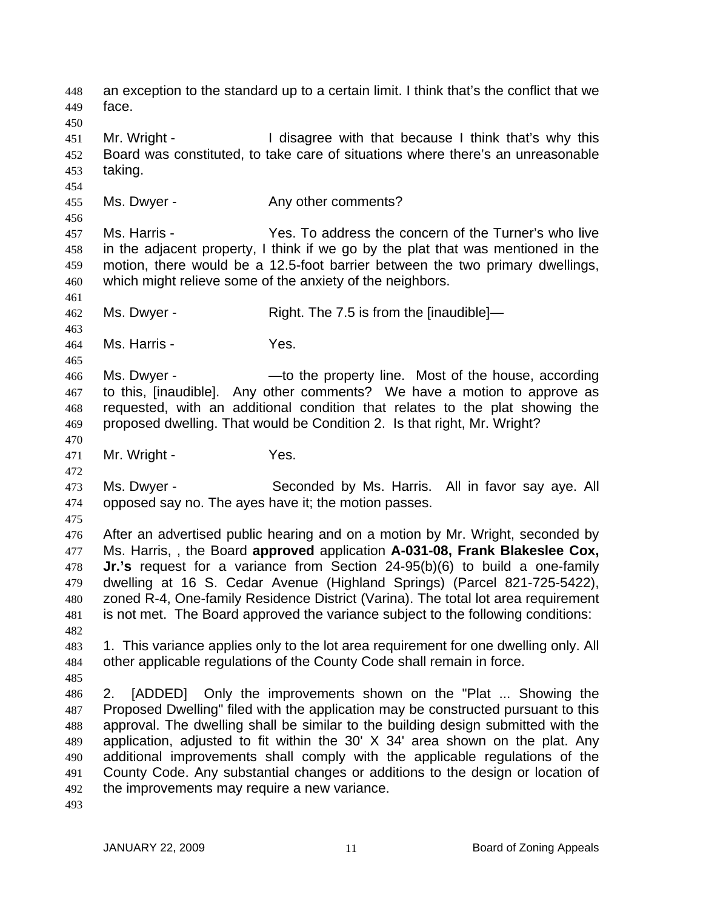an exception to the standard up to a certain limit. I think that's the conflict that we face. 448 449 450 451 452 453 454 455 456 457 458 459 460 461 462 463 464 465 466 467 468 469 470 471 472 473 474 475 476 477 478 479 480 481 482 483 484 485 486 487 488 489 490 491 492 493 Mr. Wright - The I disagree with that because I think that's why this Board was constituted, to take care of situations where there's an unreasonable taking. Ms. Dwyer - The Any other comments? Ms. Harris - The Yes. To address the concern of the Turner's who live in the adjacent property, I think if we go by the plat that was mentioned in the motion, there would be a 12.5-foot barrier between the two primary dwellings, which might relieve some of the anxiety of the neighbors. Ms. Dwyer - Right. The 7.5 is from the [inaudible]— Ms. Harris - Yes. Ms. Dwyer - The property line. Most of the house, according to this, [inaudible]. Any other comments? We have a motion to approve as requested, with an additional condition that relates to the plat showing the proposed dwelling. That would be Condition 2. Is that right, Mr. Wright? Mr. Wright - The Yes. Ms. Dwyer - Seconded by Ms. Harris. All in favor say aye. All opposed say no. The ayes have it; the motion passes. After an advertised public hearing and on a motion by Mr. Wright, seconded by Ms. Harris, , the Board **approved** application **A-031-08, Frank Blakeslee Cox, Jr.'s** request for a variance from Section 24-95(b)(6) to build a one-family dwelling at 16 S. Cedar Avenue (Highland Springs) (Parcel 821-725-5422), zoned R-4, One-family Residence District (Varina). The total lot area requirement is not met. The Board approved the variance subject to the following conditions: 1. This variance applies only to the lot area requirement for one dwelling only. All other applicable regulations of the County Code shall remain in force. 2. [ADDED] Only the improvements shown on the "Plat ... Showing the Proposed Dwelling" filed with the application may be constructed pursuant to this approval. The dwelling shall be similar to the building design submitted with the application, adjusted to fit within the 30' X 34' area shown on the plat. Any additional improvements shall comply with the applicable regulations of the County Code. Any substantial changes or additions to the design or location of the improvements may require a new variance.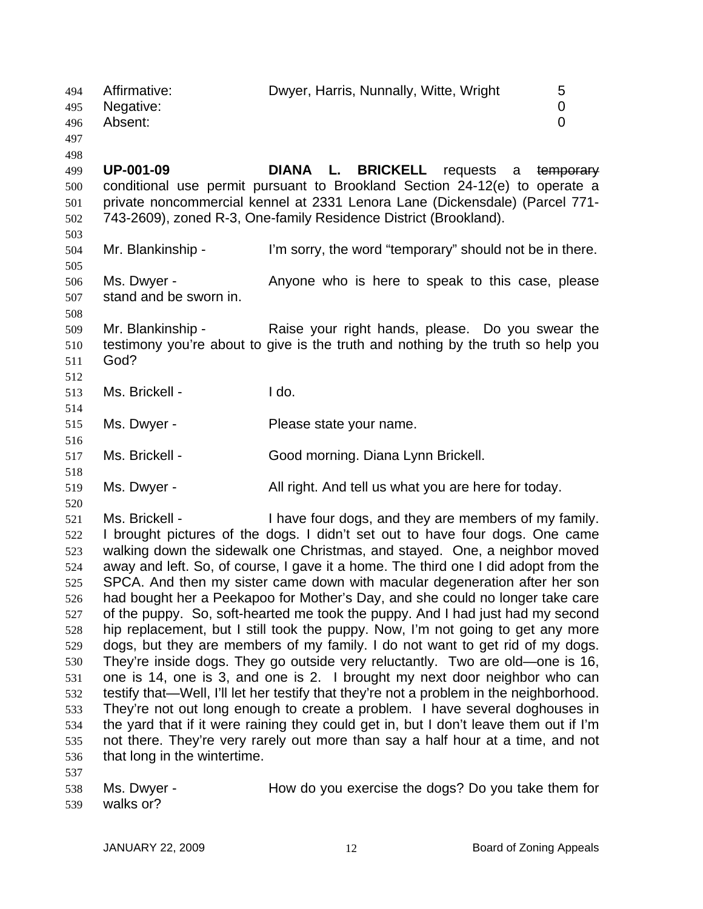494 Affirmative: Dwyer, Harris, Nunnally, Witte, Wright 5 495 496 497 498 Negative: 0 Absent: 0 **UP-001-09 DIANA L. BRICKELL** requests a temporary conditional use permit pursuant to Brookland Section 24-12(e) to operate a private noncommercial kennel at 2331 Lenora Lane (Dickensdale) (Parcel 771- 743-2609), zoned R-3, One-family Residence District (Brookland). 499 500 501 502 503 504 505 506 507 508 509 510 511 512 513 514 515 516 517 518 519 520 521 522 523 524 525 526 527 528 529 530 531 532 533 534 535 536 537 538 Mr. Blankinship - I'm sorry, the word "temporary" should not be in there. Ms. Dwyer - Anyone who is here to speak to this case, please stand and be sworn in. Mr. Blankinship - Raise your right hands, please. Do you swear the testimony you're about to give is the truth and nothing by the truth so help you God? Ms. Brickell - The I do. Ms. Dwyer - Please state your name. Ms. Brickell - Good morning. Diana Lynn Brickell. Ms. Dwyer - All right. And tell us what you are here for today. Ms. Brickell - Thave four dogs, and they are members of my family. I brought pictures of the dogs. I didn't set out to have four dogs. One came walking down the sidewalk one Christmas, and stayed. One, a neighbor moved away and left. So, of course, I gave it a home. The third one I did adopt from the SPCA. And then my sister came down with macular degeneration after her son had bought her a Peekapoo for Mother's Day, and she could no longer take care of the puppy. So, soft-hearted me took the puppy. And I had just had my second hip replacement, but I still took the puppy. Now, I'm not going to get any more dogs, but they are members of my family. I do not want to get rid of my dogs. They're inside dogs. They go outside very reluctantly. Two are old—one is 16, one is 14, one is 3, and one is 2. I brought my next door neighbor who can testify that—Well, I'll let her testify that they're not a problem in the neighborhood. They're not out long enough to create a problem. I have several doghouses in the yard that if it were raining they could get in, but I don't leave them out if I'm not there. They're very rarely out more than say a half hour at a time, and not that long in the wintertime. Ms. Dwyer - **How do you exercise the dogs?** Do you take them for

539 walks or?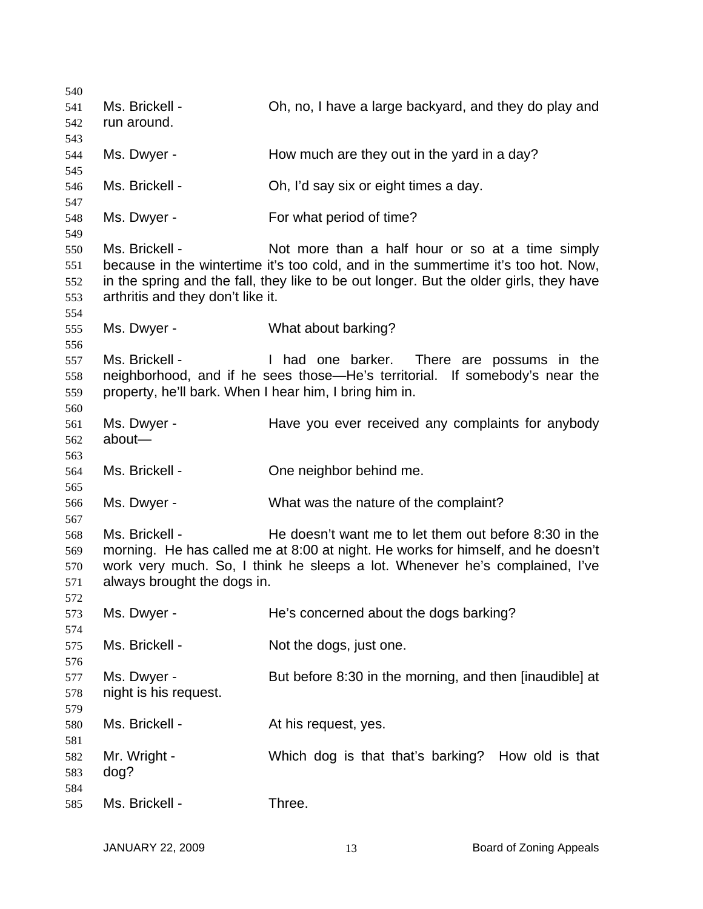| 540 |                                                        |                                                                                        |
|-----|--------------------------------------------------------|----------------------------------------------------------------------------------------|
| 541 | Ms. Brickell -                                         | Oh, no, I have a large backyard, and they do play and                                  |
| 542 | run around.                                            |                                                                                        |
| 543 |                                                        |                                                                                        |
| 544 | Ms. Dwyer -                                            | How much are they out in the yard in a day?                                            |
| 545 |                                                        |                                                                                        |
| 546 | Ms. Brickell -                                         | Oh, I'd say six or eight times a day.                                                  |
| 547 |                                                        |                                                                                        |
| 548 | Ms. Dwyer -                                            | For what period of time?                                                               |
| 549 |                                                        |                                                                                        |
| 550 | Ms. Brickell -                                         | Not more than a half hour or so at a time simply                                       |
| 551 |                                                        | because in the wintertime it's too cold, and in the summertime it's too hot. Now,      |
| 552 |                                                        | in the spring and the fall, they like to be out longer. But the older girls, they have |
| 553 | arthritis and they don't like it.                      |                                                                                        |
| 554 |                                                        |                                                                                        |
| 555 | Ms. Dwyer -                                            | What about barking?                                                                    |
| 556 |                                                        |                                                                                        |
| 557 | Ms. Brickell -                                         | I had one barker. There are possums in the                                             |
|     |                                                        | neighborhood, and if he sees those—He's territorial. If somebody's near the            |
| 558 |                                                        |                                                                                        |
| 559 | property, he'll bark. When I hear him, I bring him in. |                                                                                        |
| 560 |                                                        |                                                                                        |
| 561 | Ms. Dwyer -                                            | Have you ever received any complaints for anybody                                      |
| 562 | about-                                                 |                                                                                        |
| 563 |                                                        |                                                                                        |
| 564 | Ms. Brickell -                                         | One neighbor behind me.                                                                |
| 565 |                                                        |                                                                                        |
| 566 | Ms. Dwyer -                                            | What was the nature of the complaint?                                                  |
| 567 |                                                        |                                                                                        |
| 568 | Ms. Brickell -                                         | He doesn't want me to let them out before 8:30 in the                                  |
| 569 |                                                        | morning. He has called me at 8:00 at night. He works for himself, and he doesn't       |
| 570 |                                                        | work very much. So, I think he sleeps a lot. Whenever he's complained, I've            |
| 571 | always brought the dogs in.                            |                                                                                        |
| 572 |                                                        |                                                                                        |
| 573 | Ms. Dwyer -                                            | He's concerned about the dogs barking?                                                 |
| 574 |                                                        |                                                                                        |
| 575 | Ms. Brickell -                                         | Not the dogs, just one.                                                                |
| 576 |                                                        |                                                                                        |
| 577 | Ms. Dwyer -                                            | But before 8:30 in the morning, and then [inaudible] at                                |
| 578 | night is his request.                                  |                                                                                        |
| 579 |                                                        |                                                                                        |
| 580 | Ms. Brickell -                                         | At his request, yes.                                                                   |
| 581 |                                                        |                                                                                        |
| 582 | Mr. Wright -                                           | Which dog is that that's barking? How old is that                                      |
| 583 | dog?                                                   |                                                                                        |
| 584 |                                                        |                                                                                        |
| 585 | Ms. Brickell -                                         | Three.                                                                                 |
|     |                                                        |                                                                                        |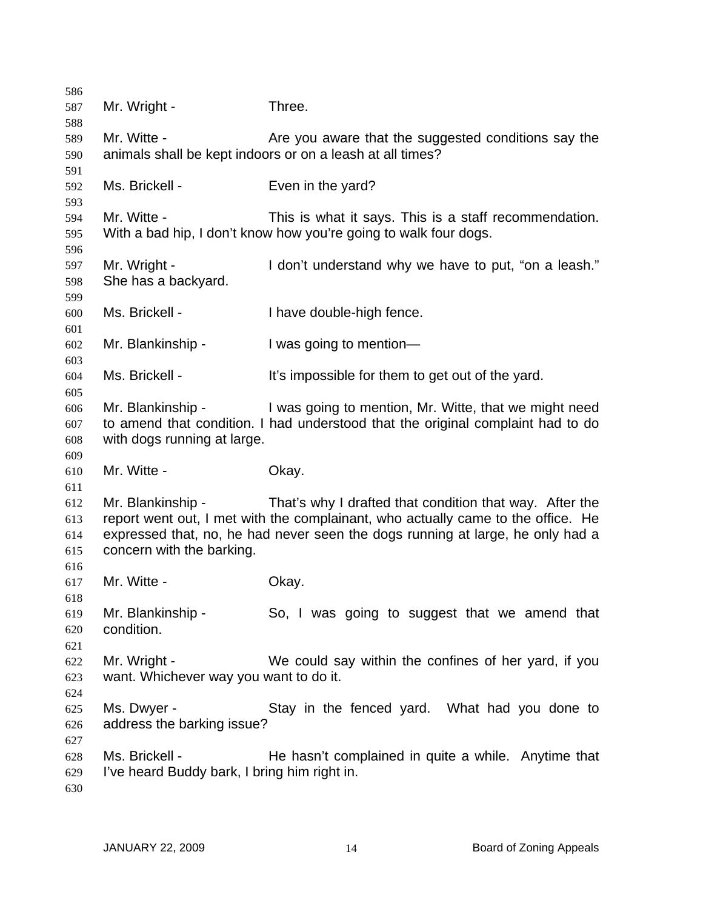| 586        |                                              |                                                                                  |
|------------|----------------------------------------------|----------------------------------------------------------------------------------|
| 587        | Mr. Wright -                                 | Three.                                                                           |
| 588        |                                              |                                                                                  |
| 589        | Mr. Witte -                                  | Are you aware that the suggested conditions say the                              |
| 590        |                                              | animals shall be kept indoors or on a leash at all times?                        |
| 591<br>592 | Ms. Brickell -                               | Even in the yard?                                                                |
| 593        |                                              |                                                                                  |
| 594        | Mr. Witte -                                  | This is what it says. This is a staff recommendation.                            |
| 595        |                                              | With a bad hip, I don't know how you're going to walk four dogs.                 |
| 596        |                                              |                                                                                  |
| 597        | Mr. Wright -                                 | I don't understand why we have to put, "on a leash."                             |
| 598        | She has a backyard.                          |                                                                                  |
| 599        |                                              |                                                                                  |
| 600        | Ms. Brickell -                               | I have double-high fence.                                                        |
| 601        |                                              |                                                                                  |
| 602        | Mr. Blankinship -                            | I was going to mention-                                                          |
| 603        | Ms. Brickell -                               | It's impossible for them to get out of the yard.                                 |
| 604<br>605 |                                              |                                                                                  |
| 606        | Mr. Blankinship -                            | I was going to mention, Mr. Witte, that we might need                            |
| 607        |                                              | to amend that condition. I had understood that the original complaint had to do  |
| 608        | with dogs running at large.                  |                                                                                  |
| 609        |                                              |                                                                                  |
| 610        | Mr. Witte -                                  | Okay.                                                                            |
| 611        |                                              |                                                                                  |
| 612        | Mr. Blankinship -                            | That's why I drafted that condition that way. After the                          |
| 613        |                                              | report went out, I met with the complainant, who actually came to the office. He |
| 614        |                                              | expressed that, no, he had never seen the dogs running at large, he only had a   |
| 615        | concern with the barking.                    |                                                                                  |
| 616        | Mr. Witte -                                  |                                                                                  |
| 617<br>618 |                                              | Okay.                                                                            |
| 619        | Mr. Blankinship -                            | So, I was going to suggest that we amend that                                    |
| 620        | condition.                                   |                                                                                  |
| 621        |                                              |                                                                                  |
| 622        | Mr. Wright -                                 | We could say within the confines of her yard, if you                             |
| 623        | want. Whichever way you want to do it.       |                                                                                  |
| 624        |                                              |                                                                                  |
| 625        | Ms. Dwyer -                                  | Stay in the fenced yard. What had you done to                                    |
| 626        | address the barking issue?                   |                                                                                  |
| 627        |                                              |                                                                                  |
| 628        | Ms. Brickell -                               | He hasn't complained in quite a while. Anytime that                              |
| 629<br>630 | I've heard Buddy bark, I bring him right in. |                                                                                  |
|            |                                              |                                                                                  |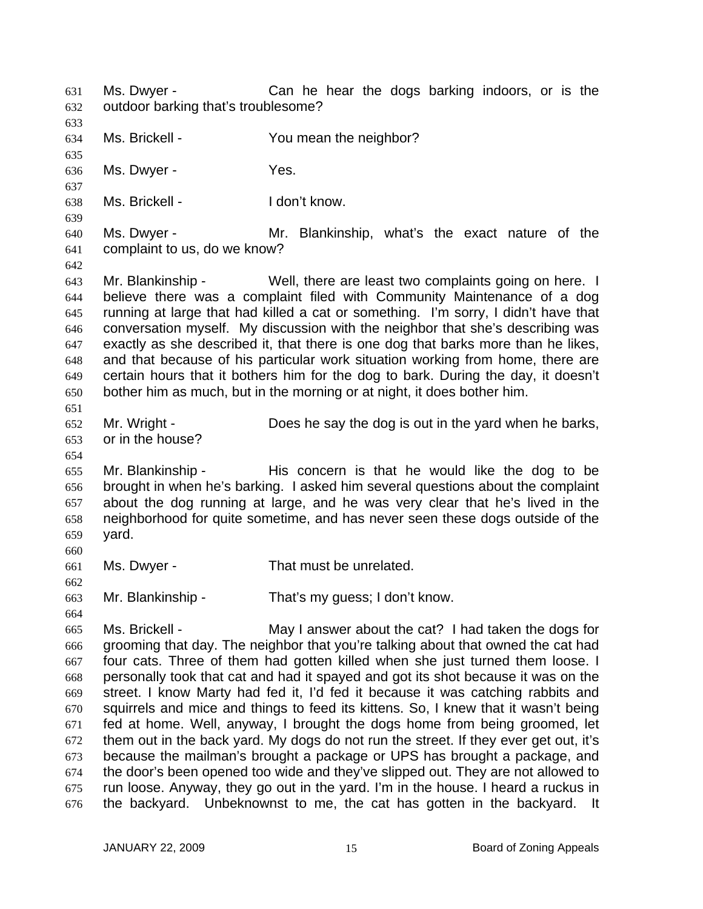Ms. Dwyer - Can he hear the dogs barking indoors, or is the outdoor barking that's troublesome? 631 632 633 634 635 636 637 638 639 640 641 642 643 644 645 646 647 648 649 650 651 652 653 654 655 656 657 658 659 660 661 662 663 664 665 666 667 668 669 670 671 672 673 674 675 676 Ms. Brickell - The You mean the neighbor? Ms. Dwyer - Yes. Ms. Brickell - The Music Letter Head on the Music Prince I don't know. Ms. Dwyer - Mr. Blankinship, what's the exact nature of the complaint to us, do we know? Mr. Blankinship - Well, there are least two complaints going on here. I believe there was a complaint filed with Community Maintenance of a dog running at large that had killed a cat or something. I'm sorry, I didn't have that conversation myself. My discussion with the neighbor that she's describing was exactly as she described it, that there is one dog that barks more than he likes, and that because of his particular work situation working from home, there are certain hours that it bothers him for the dog to bark. During the day, it doesn't bother him as much, but in the morning or at night, it does bother him. Mr. Wright - Does he say the dog is out in the yard when he barks, or in the house? Mr. Blankinship - His concern is that he would like the dog to be brought in when he's barking. I asked him several questions about the complaint about the dog running at large, and he was very clear that he's lived in the neighborhood for quite sometime, and has never seen these dogs outside of the yard. Ms. Dwyer - That must be unrelated. Mr. Blankinship - That's my guess; I don't know. Ms. Brickell - May I answer about the cat? I had taken the dogs for grooming that day. The neighbor that you're talking about that owned the cat had four cats. Three of them had gotten killed when she just turned them loose. I personally took that cat and had it spayed and got its shot because it was on the street. I know Marty had fed it, I'd fed it because it was catching rabbits and squirrels and mice and things to feed its kittens. So, I knew that it wasn't being fed at home. Well, anyway, I brought the dogs home from being groomed, let them out in the back yard. My dogs do not run the street. If they ever get out, it's because the mailman's brought a package or UPS has brought a package, and the door's been opened too wide and they've slipped out. They are not allowed to run loose. Anyway, they go out in the yard. I'm in the house. I heard a ruckus in the backyard. Unbeknownst to me, the cat has gotten in the backyard. It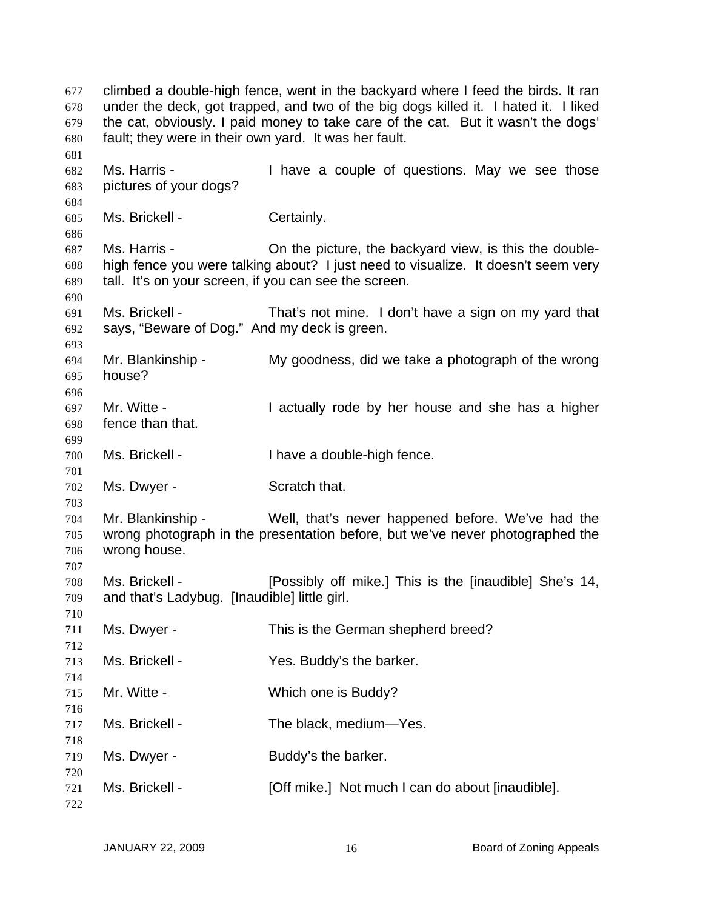climbed a double-high fence, went in the backyard where I feed the birds. It ran under the deck, got trapped, and two of the big dogs killed it. I hated it. I liked the cat, obviously. I paid money to take care of the cat. But it wasn't the dogs' fault; they were in their own yard. It was her fault. Ms. Harris - Thave a couple of questions. May we see those pictures of your dogs? Ms. Brickell - Certainly. Ms. Harris - On the picture, the backyard view, is this the doublehigh fence you were talking about? I just need to visualize. It doesn't seem very tall. It's on your screen, if you can see the screen. Ms. Brickell - That's not mine. I don't have a sign on my yard that says, "Beware of Dog." And my deck is green. Mr. Blankinship - My goodness, did we take a photograph of the wrong house? Mr. Witte - The Music Collectually rode by her house and she has a higher fence than that. Ms. Brickell - Thave a double-high fence. Ms. Dwyer - Scratch that. Mr. Blankinship - Well, that's never happened before. We've had the wrong photograph in the presentation before, but we've never photographed the wrong house. Ms. Brickell - **Figure 1** [Possibly off mike.] This is the [inaudible] She's 14, and that's Ladybug. [Inaudible] little girl. Ms. Dwyer - This is the German shepherd breed? Ms. Brickell - Yes. Buddy's the barker. Mr. Witte - Which one is Buddy? Ms. Brickell - The black, medium—Yes. Ms. Dwyer - Buddy's the barker. Ms. Brickell - [Off mike.] Not much I can do about [inaudible].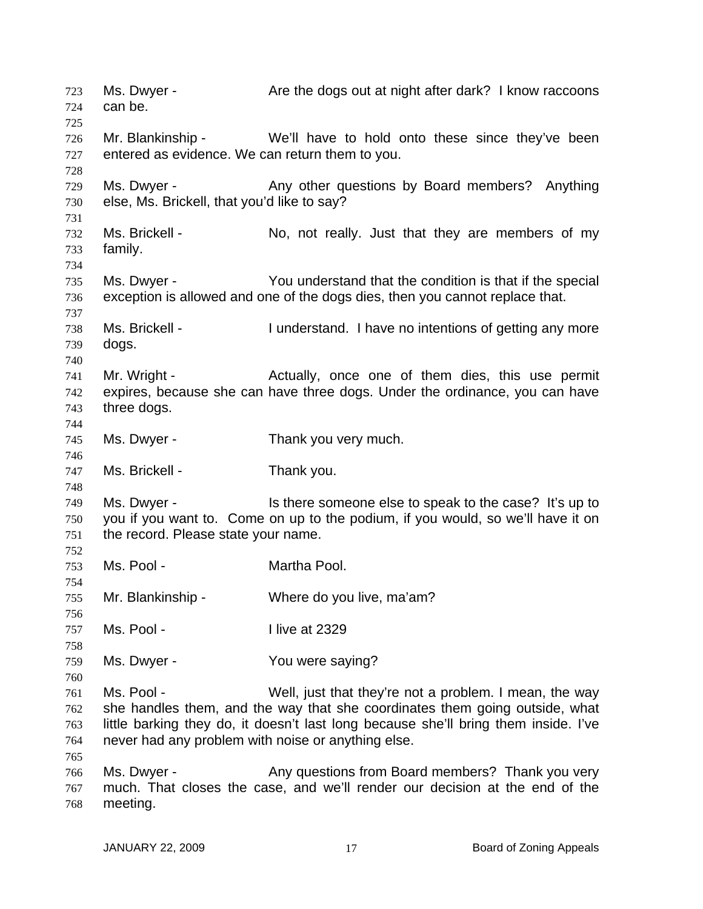Ms. Dwyer - The Are the dogs out at night after dark? I know raccoons can be. 723 724 725 726 727 728 729 730 731 732 733 734 735 736 737 738 739 740 741 742 743 744 745 746 747 748 749 750 751 752 753 754 755 756 757 758 759 760 761 762 763 764 765 766 767 768 Mr. Blankinship - We'll have to hold onto these since they've been entered as evidence. We can return them to you. Ms. Dwyer - Any other questions by Board members? Anything else, Ms. Brickell, that you'd like to say? Ms. Brickell - No, not really. Just that they are members of my family. Ms. Dwyer - You understand that the condition is that if the special exception is allowed and one of the dogs dies, then you cannot replace that. Ms. Brickell - I understand. I have no intentions of getting any more dogs. Mr. Wright - The Actually, once one of them dies, this use permit expires, because she can have three dogs. Under the ordinance, you can have three dogs. Ms. Dwyer - Thank you very much. Ms. Brickell - Thank you. Ms. Dwyer - Is there someone else to speak to the case? It's up to you if you want to. Come on up to the podium, if you would, so we'll have it on the record. Please state your name. Ms. Pool - **Martha Pool.** Mr. Blankinship - Where do you live, ma'am? Ms. Pool - I live at 2329 Ms. Dwyer - You were saying? Ms. Pool - Well, just that they're not a problem. I mean, the way she handles them, and the way that she coordinates them going outside, what little barking they do, it doesn't last long because she'll bring them inside. I've never had any problem with noise or anything else. Ms. Dwyer - Any questions from Board members? Thank you very much. That closes the case, and we'll render our decision at the end of the meeting.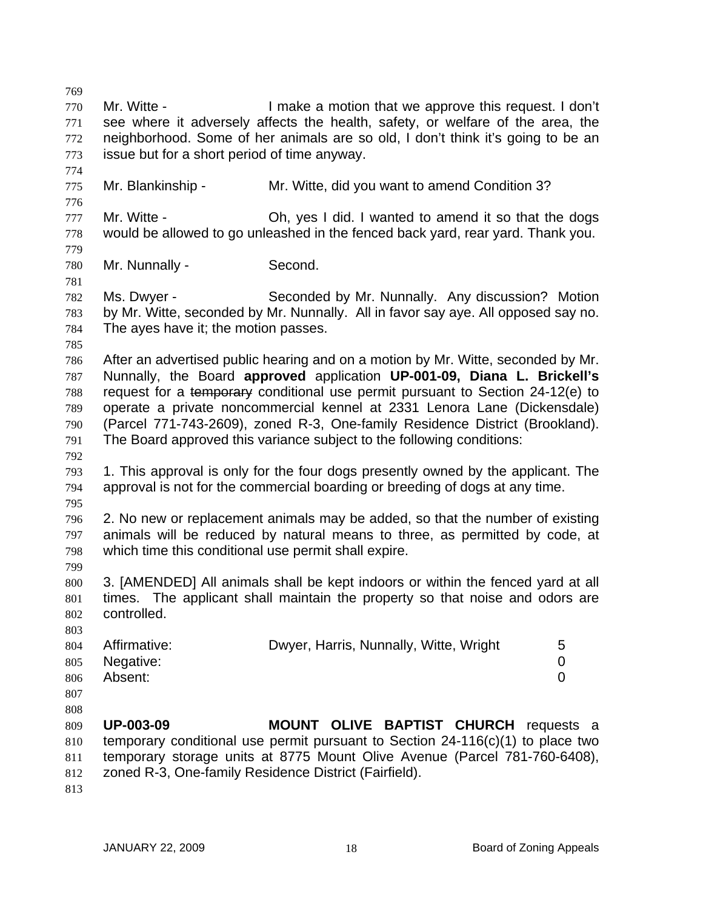769 770 771 772 773 774 775 776 777 778 779 780 781 782 783 784 785 786 787 Mr. Witte - The Muslim of I make a motion that we approve this request. I don't see where it adversely affects the health, safety, or welfare of the area, the neighborhood. Some of her animals are so old, I don't think it's going to be an issue but for a short period of time anyway. Mr. Blankinship - Mr. Witte, did you want to amend Condition 3? Mr. Witte - Oh, yes I did. I wanted to amend it so that the dogs would be allowed to go unleashed in the fenced back yard, rear yard. Thank you. Mr. Nunnally - Second. Ms. Dwyer - Seconded by Mr. Nunnally. Any discussion? Motion by Mr. Witte, seconded by Mr. Nunnally. All in favor say aye. All opposed say no. The ayes have it; the motion passes. After an advertised public hearing and on a motion by Mr. Witte, seconded by Mr. Nunnally, the Board **approved** application **UP-001-09, Diana L. Brickell's**  request for a temporary conditional use permit pursuant to Section 24-12(e) to operate a private noncommercial kennel at 2331 Lenora Lane (Dickensdale) (Parcel 771-743-2609), zoned R-3, One-family Residence District (Brookland). The Board approved this variance subject to the following conditions: 788 789 790 791 792 793 794 795 796 797 798 799 800 801 802 803 804 805 806 807 808 809 810 811 812 813 1. This approval is only for the four dogs presently owned by the applicant. The approval is not for the commercial boarding or breeding of dogs at any time. 2. No new or replacement animals may be added, so that the number of existing animals will be reduced by natural means to three, as permitted by code, at which time this conditional use permit shall expire. 3. [AMENDED] All animals shall be kept indoors or within the fenced yard at all times. The applicant shall maintain the property so that noise and odors are controlled. Affirmative: Dwyer, Harris, Nunnally, Witte, Wright 5 Negative: 0 Absent: 0 **UP-003-09 MOUNT OLIVE BAPTIST CHURCH** requests a temporary conditional use permit pursuant to Section 24-116(c)(1) to place two temporary storage units at 8775 Mount Olive Avenue (Parcel 781-760-6408), zoned R-3, One-family Residence District (Fairfield).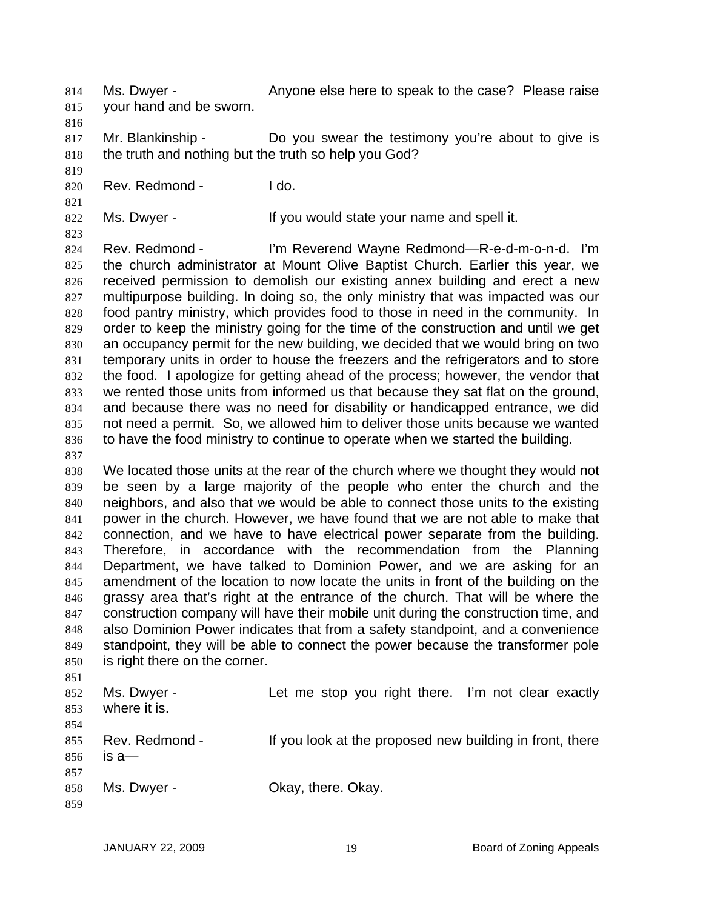Ms. Dwyer - Anyone else here to speak to the case? Please raise your hand and be sworn. 814 815

816

819

821

823

817 818 Mr. Blankinship - Do you swear the testimony you're about to give is the truth and nothing but the truth so help you God?

820 Rev. Redmond - I do.

822 Ms. Dwyer - The Music of the Vou would state your name and spell it.

824 825 826 827 828 829 830 831 832 833 834 835 836 Rev. Redmond - I'm Reverend Wayne Redmond—R-e-d-m-o-n-d. I'm the church administrator at Mount Olive Baptist Church. Earlier this year, we received permission to demolish our existing annex building and erect a new multipurpose building. In doing so, the only ministry that was impacted was our food pantry ministry, which provides food to those in need in the community. In order to keep the ministry going for the time of the construction and until we get an occupancy permit for the new building, we decided that we would bring on two temporary units in order to house the freezers and the refrigerators and to store the food. I apologize for getting ahead of the process; however, the vendor that we rented those units from informed us that because they sat flat on the ground, and because there was no need for disability or handicapped entrance, we did not need a permit. So, we allowed him to deliver those units because we wanted to have the food ministry to continue to operate when we started the building.

837

851

838 839 840 841 842 843 844 845 846 847 848 849 850 We located those units at the rear of the church where we thought they would not be seen by a large majority of the people who enter the church and the neighbors, and also that we would be able to connect those units to the existing power in the church. However, we have found that we are not able to make that connection, and we have to have electrical power separate from the building. Therefore, in accordance with the recommendation from the Planning Department, we have talked to Dominion Power, and we are asking for an amendment of the location to now locate the units in front of the building on the grassy area that's right at the entrance of the church. That will be where the construction company will have their mobile unit during the construction time, and also Dominion Power indicates that from a safety standpoint, and a convenience standpoint, they will be able to connect the power because the transformer pole is right there on the corner.

| 852 | Ms. Dwyer -    | Let me stop you right there. I'm not clear exactly       |
|-----|----------------|----------------------------------------------------------|
| 853 | where it is.   |                                                          |
| 854 |                |                                                          |
| 855 | Rev. Redmond - | If you look at the proposed new building in front, there |
| 856 | $is a$ —       |                                                          |
| 857 |                |                                                          |
| 858 | Ms. Dwyer -    | Okay, there. Okay.                                       |
| 859 |                |                                                          |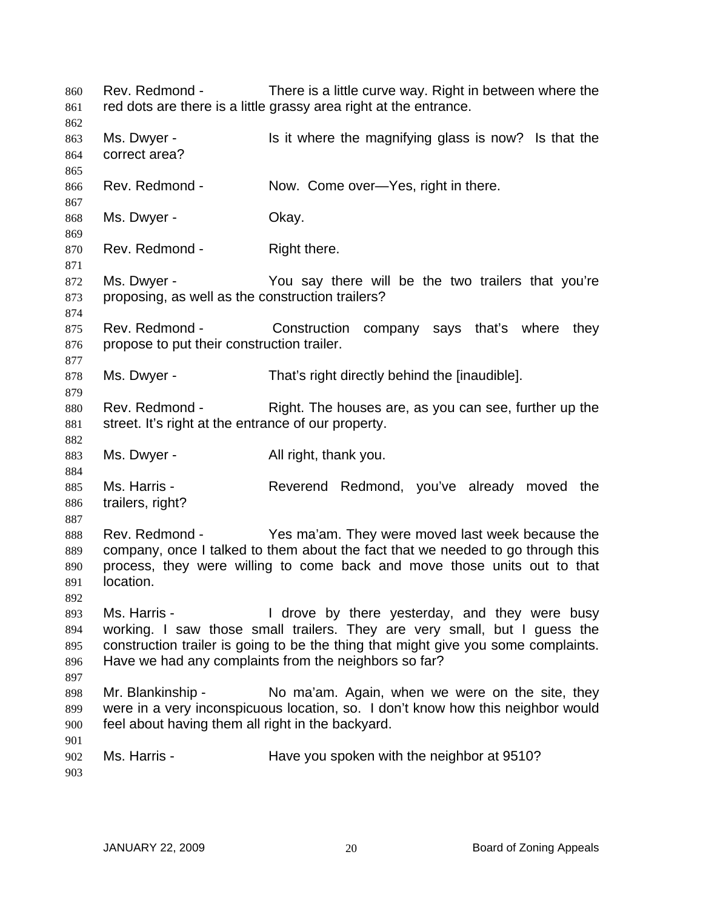Rev. Redmond - There is a little curve way. Right in between where the red dots are there is a little grassy area right at the entrance. 860 861 862 863 864 865 866 867 868 869 870 871 872 873 874 875 876 877 878 879 880 881 882 883 884 885 886 887 888 889 890 891 892 893 894 895 896 897 898 899 900 901 902 903 Ms. Dwyer - Is it where the magnifying glass is now? Is that the correct area? Rev. Redmond - Now. Come over—Yes, right in there. Ms. Dwyer - Chay. Rev. Redmond - Right there. Ms. Dwyer - You say there will be the two trailers that you're proposing, as well as the construction trailers? Rev. Redmond - Construction company says that's where they propose to put their construction trailer. Ms. Dwyer - That's right directly behind the [inaudible]. Rev. Redmond - Right. The houses are, as you can see, further up the street. It's right at the entrance of our property. Ms. Dwyer - All right, thank you. Ms. Harris - The Reverend Redmond, you've already moved the trailers, right? Rev. Redmond - Yes ma'am. They were moved last week because the company, once I talked to them about the fact that we needed to go through this process, they were willing to come back and move those units out to that location. Ms. Harris - The Move by there yesterday, and they were busy working. I saw those small trailers. They are very small, but I guess the construction trailer is going to be the thing that might give you some complaints. Have we had any complaints from the neighbors so far? Mr. Blankinship - No ma'am. Again, when we were on the site, they were in a very inconspicuous location, so. I don't know how this neighbor would feel about having them all right in the backyard. Ms. Harris - Thave you spoken with the neighbor at 9510?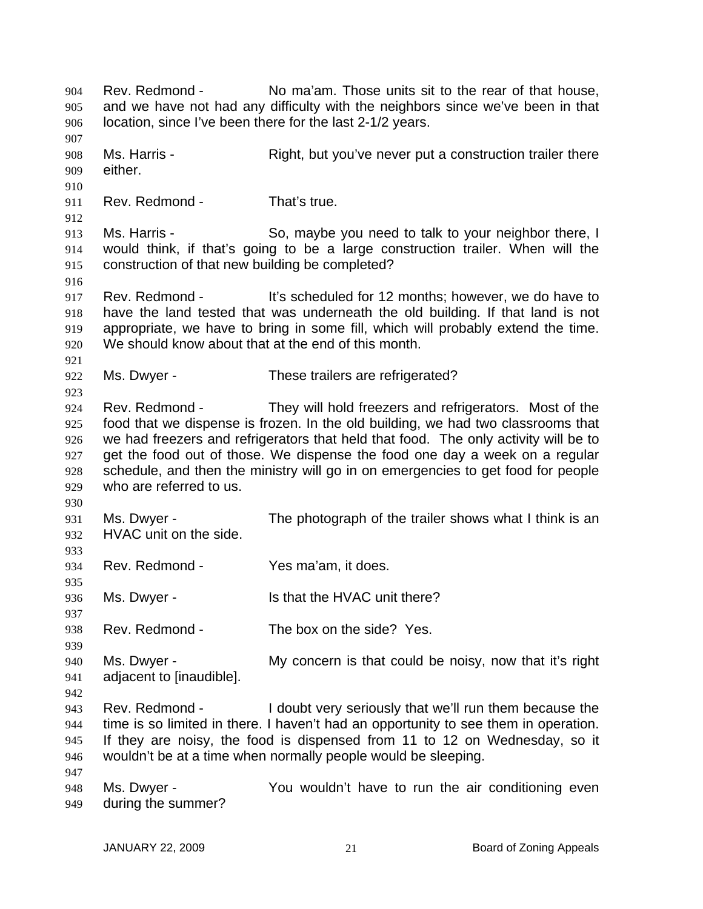Rev. Redmond - No ma'am. Those units sit to the rear of that house, and we have not had any difficulty with the neighbors since we've been in that location, since I've been there for the last 2-1/2 years. 904 905 906 907 908 909 910 911 912 913 914 915 916 917 918 919 920 921 922 923 924 925 926 927 928 929 930 931 932 933 934 935 936 937 938 939 940 941 942 943 944 945 946 947 948 949 Ms. Harris - Right, but you've never put a construction trailer there either. Rev. Redmond - That's true. Ms. Harris - So, maybe you need to talk to your neighbor there, I would think, if that's going to be a large construction trailer. When will the construction of that new building be completed? Rev. Redmond - It's scheduled for 12 months; however, we do have to have the land tested that was underneath the old building. If that land is not appropriate, we have to bring in some fill, which will probably extend the time. We should know about that at the end of this month. Ms. Dwyer - These trailers are refrigerated? Rev. Redmond - They will hold freezers and refrigerators. Most of the food that we dispense is frozen. In the old building, we had two classrooms that we had freezers and refrigerators that held that food. The only activity will be to get the food out of those. We dispense the food one day a week on a regular schedule, and then the ministry will go in on emergencies to get food for people who are referred to us. Ms. Dwyer - The photograph of the trailer shows what I think is an HVAC unit on the side. Rev. Redmond - Yes ma'am, it does. Ms. Dwyer - Is that the HVAC unit there? Rev. Redmond - The box on the side? Yes. Ms. Dwyer - My concern is that could be noisy, now that it's right adjacent to [inaudible]. Rev. Redmond - I doubt very seriously that we'll run them because the time is so limited in there. I haven't had an opportunity to see them in operation. If they are noisy, the food is dispensed from 11 to 12 on Wednesday, so it wouldn't be at a time when normally people would be sleeping. Ms. Dwyer - You wouldn't have to run the air conditioning even during the summer?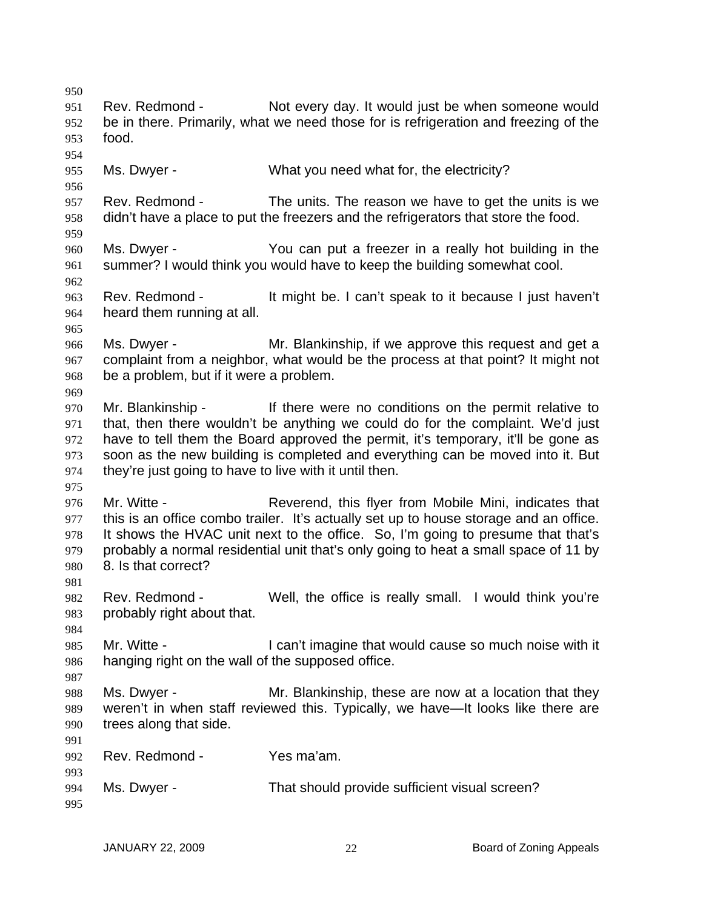950 951 952 953 954 955 956 957 958 959 960 961 962 963 964 965 966 967 968 969 970 971 972 973 974 975 976 977 978 979 980 981 982 983 984 985 986 987 988 989 990 991 992 993 994 995 Rev. Redmond - Not every day. It would just be when someone would be in there. Primarily, what we need those for is refrigeration and freezing of the food. Ms. Dwyer - What you need what for, the electricity? Rev. Redmond - The units. The reason we have to get the units is we didn't have a place to put the freezers and the refrigerators that store the food. Ms. Dwyer - The You can put a freezer in a really hot building in the summer? I would think you would have to keep the building somewhat cool. Rev. Redmond - It might be. I can't speak to it because I just haven't heard them running at all. Ms. Dwyer - Mr. Blankinship, if we approve this request and get a complaint from a neighbor, what would be the process at that point? It might not be a problem, but if it were a problem. Mr. Blankinship - There were no conditions on the permit relative to that, then there wouldn't be anything we could do for the complaint. We'd just have to tell them the Board approved the permit, it's temporary, it'll be gone as soon as the new building is completed and everything can be moved into it. But they're just going to have to live with it until then. Mr. Witte - Reverend, this flyer from Mobile Mini, indicates that this is an office combo trailer. It's actually set up to house storage and an office. It shows the HVAC unit next to the office. So, I'm going to presume that that's probably a normal residential unit that's only going to heat a small space of 11 by 8. Is that correct? Rev. Redmond - Well, the office is really small. I would think you're probably right about that. Mr. Witte - The State of I can't imagine that would cause so much noise with it hanging right on the wall of the supposed office. Ms. Dwyer - Mr. Blankinship, these are now at a location that they weren't in when staff reviewed this. Typically, we have—It looks like there are trees along that side. Rev. Redmond - Yes ma'am. Ms. Dwyer - That should provide sufficient visual screen?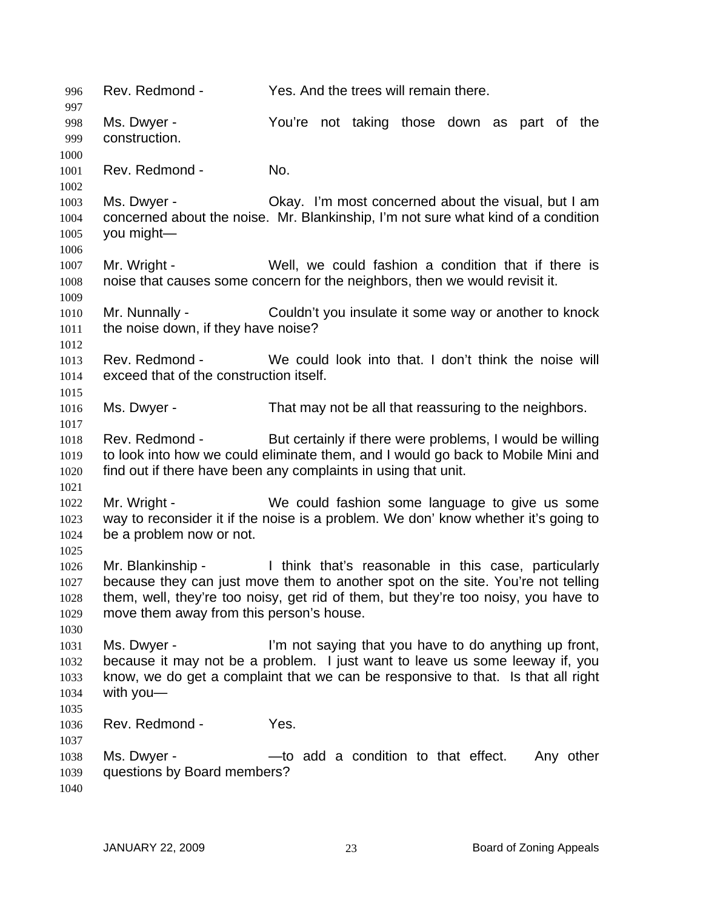996 Rev. Redmond - Yes. And the trees will remain there. 997 998 999 1000 1001 1002 1003 1004 1005 1006 1007 1008 1009 1010 1011 1012 1013 1014 1015 1016 1017 1018 1019 1020 1021 1022 1023 1024 1025 1026 1027 1028 1029 1030 1031 1032 1033 1034 1035 1036 1037 1038 1039 1040 Ms. Dwyer - You're not taking those down as part of the construction. Rev. Redmond - No. Ms. Dwyer - Chay. I'm most concerned about the visual, but I am concerned about the noise. Mr. Blankinship, I'm not sure what kind of a condition you might— Mr. Wright - Well, we could fashion a condition that if there is noise that causes some concern for the neighbors, then we would revisit it. Mr. Nunnally - Couldn't you insulate it some way or another to knock the noise down, if they have noise? Rev. Redmond - We could look into that. I don't think the noise will exceed that of the construction itself. Ms. Dwyer - That may not be all that reassuring to the neighbors. Rev. Redmond - But certainly if there were problems, I would be willing to look into how we could eliminate them, and I would go back to Mobile Mini and find out if there have been any complaints in using that unit. Mr. Wright - We could fashion some language to give us some way to reconsider it if the noise is a problem. We don' know whether it's going to be a problem now or not. Mr. Blankinship - Think that's reasonable in this case, particularly because they can just move them to another spot on the site. You're not telling them, well, they're too noisy, get rid of them, but they're too noisy, you have to move them away from this person's house. Ms. Dwyer - I'm not saying that you have to do anything up front, because it may not be a problem. I just want to leave us some leeway if, you know, we do get a complaint that we can be responsive to that. Is that all right with you— Rev. Redmond - Yes. Ms. Dwyer - The said a condition to that effect. Any other questions by Board members?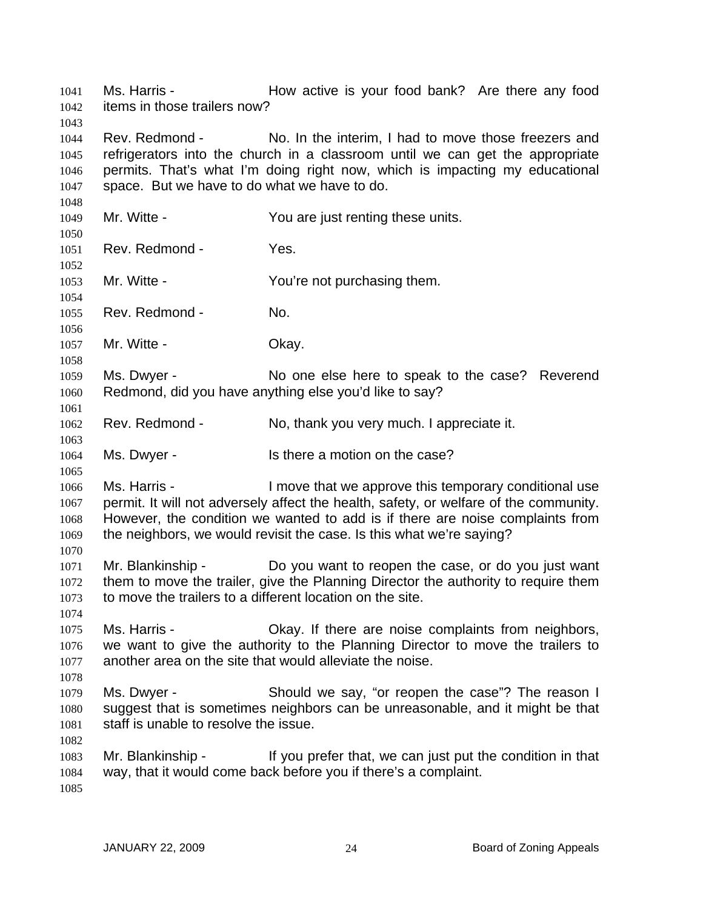Ms. Harris - The How active is your food bank? Are there any food items in those trailers now? 1041 1042 1043

1044 1045 1046 1047 Rev. Redmond - No. In the interim, I had to move those freezers and refrigerators into the church in a classroom until we can get the appropriate permits. That's what I'm doing right now, which is impacting my educational space. But we have to do what we have to do.

1049 1050 1051 1052 1053 1054 1055 1056 1057 1058 1059 1060 1061 1062 1063 1064 1065 1066 1067 1068 1069 1070 1071 1072 1073 1074 1075 1076 1077 1078 1079 1080 1081 1082 1083 1084 1085 Mr. Witte - The You are just renting these units. Rev. Redmond - Yes. Mr. Witte - The You're not purchasing them. Rev. Redmond - No. Mr. Witte - Chay. Ms. Dwyer - No one else here to speak to the case? Reverend Redmond, did you have anything else you'd like to say? Rev. Redmond - No, thank you very much. I appreciate it. Ms. Dwyer - Is there a motion on the case? Ms. Harris - I move that we approve this temporary conditional use permit. It will not adversely affect the health, safety, or welfare of the community. However, the condition we wanted to add is if there are noise complaints from the neighbors, we would revisit the case. Is this what we're saying? Mr. Blankinship - Do you want to reopen the case, or do you just want them to move the trailer, give the Planning Director the authority to require them to move the trailers to a different location on the site. Ms. Harris - Okay. If there are noise complaints from neighbors, we want to give the authority to the Planning Director to move the trailers to another area on the site that would alleviate the noise. Ms. Dwyer - Should we say, "or reopen the case"? The reason I suggest that is sometimes neighbors can be unreasonable, and it might be that staff is unable to resolve the issue. Mr. Blankinship - If you prefer that, we can just put the condition in that way, that it would come back before you if there's a complaint.

1048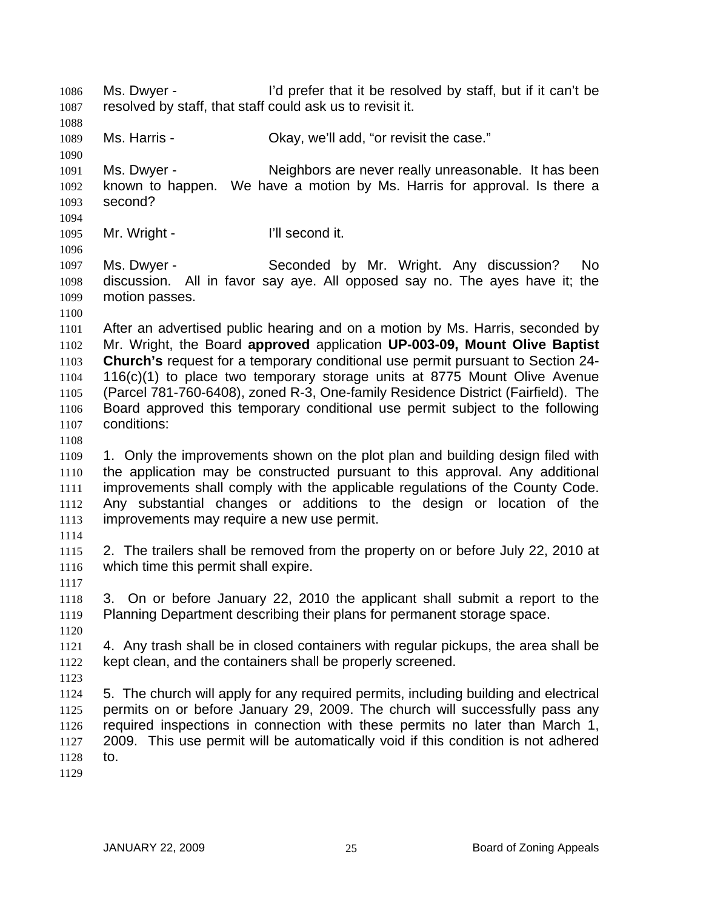Ms. Dwyer - I'd prefer that it be resolved by staff, but if it can't be resolved by staff, that staff could ask us to revisit it. 1086 1087 1088 1089 1090 1091 1092 1093 1094 1095 1096 1097 1098 1099 1100 1101 1102 1103 1104 1105 1106 1107 1108 1109 1110 1111 1112 1113 1114 1115 1116 1117 1118 1119 1120 1121 1122 1123 1124 1125 1126 1127 1128 1129 Ms. Harris - Ckay, we'll add, "or revisit the case." Ms. Dwyer - Neighbors are never really unreasonable. It has been known to happen. We have a motion by Ms. Harris for approval. Is there a second? Mr. Wright - **I'll second it.** Ms. Dwyer - Seconded by Mr. Wright. Any discussion? No discussion. All in favor say aye. All opposed say no. The ayes have it; the motion passes. After an advertised public hearing and on a motion by Ms. Harris, seconded by Mr. Wright, the Board **approved** application **UP-003-09, Mount Olive Baptist Church's** request for a temporary conditional use permit pursuant to Section 24- 116(c)(1) to place two temporary storage units at 8775 Mount Olive Avenue (Parcel 781-760-6408), zoned R-3, One-family Residence District (Fairfield). The Board approved this temporary conditional use permit subject to the following conditions: 1. Only the improvements shown on the plot plan and building design filed with the application may be constructed pursuant to this approval. Any additional improvements shall comply with the applicable regulations of the County Code. Any substantial changes or additions to the design or location of the improvements may require a new use permit. 2. The trailers shall be removed from the property on or before July 22, 2010 at which time this permit shall expire. 3. On or before January 22, 2010 the applicant shall submit a report to the Planning Department describing their plans for permanent storage space. 4. Any trash shall be in closed containers with regular pickups, the area shall be kept clean, and the containers shall be properly screened. 5. The church will apply for any required permits, including building and electrical permits on or before January 29, 2009. The church will successfully pass any required inspections in connection with these permits no later than March 1, 2009. This use permit will be automatically void if this condition is not adhered to.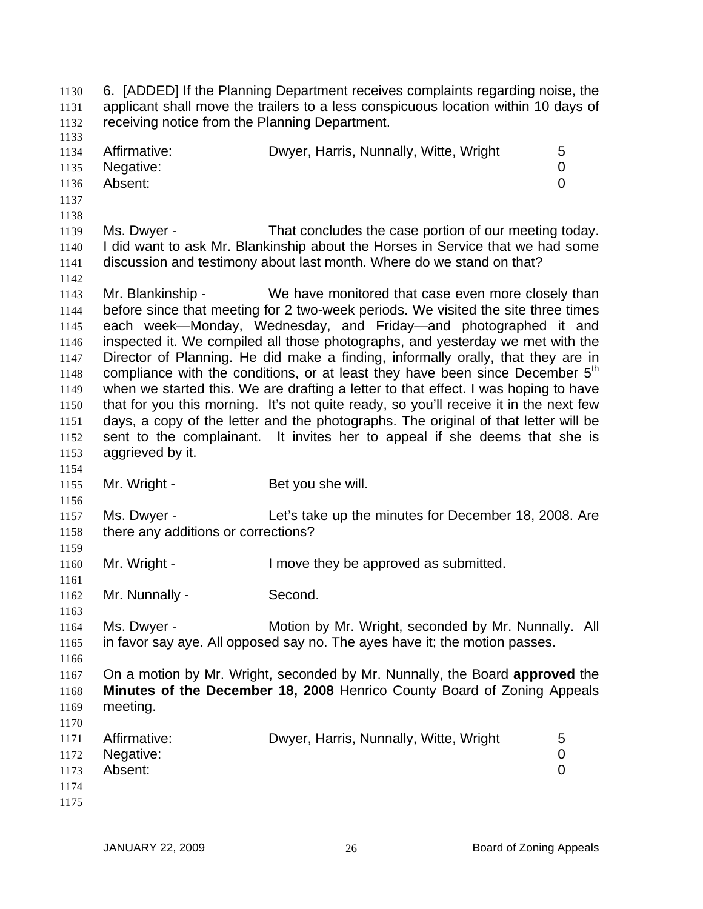6. [ADDED] If the Planning Department receives complaints regarding noise, the applicant shall move the trailers to a less conspicuous location within 10 days of receiving notice from the Planning Department. 1130 1131 1132 1133 1134 1135 1136 1137 1138 1139 1140 1141 1142 1143 1144 1145 1146 1147 1148 1149 1150 1151 1152 1153 1154 1155 1156 1157 1158 1159 1160 1161 1162 1163 1164 1165 1166 1167 1168 1169 1170 1171 1172 1173 1174 1175 Affirmative: **Dwyer, Harris, Nunnally, Witte, Wright** 5 Negative: 0 Absent: 0 Ms. Dwyer - That concludes the case portion of our meeting today. I did want to ask Mr. Blankinship about the Horses in Service that we had some discussion and testimony about last month. Where do we stand on that? Mr. Blankinship - We have monitored that case even more closely than before since that meeting for 2 two-week periods. We visited the site three times each week—Monday, Wednesday, and Friday—and photographed it and inspected it. We compiled all those photographs, and yesterday we met with the Director of Planning. He did make a finding, informally orally, that they are in compliance with the conditions, or at least they have been since December 5<sup>th</sup> when we started this. We are drafting a letter to that effect. I was hoping to have that for you this morning. It's not quite ready, so you'll receive it in the next few days, a copy of the letter and the photographs. The original of that letter will be sent to the complainant. It invites her to appeal if she deems that she is aggrieved by it. Mr. Wright - Bet you she will. Ms. Dwyer - Let's take up the minutes for December 18, 2008. Are there any additions or corrections? Mr. Wright - The Muslim ove they be approved as submitted. Mr. Nunnally - Second. Ms. Dwyer - **Motion by Mr. Wright, seconded by Mr. Nunnally.** All in favor say aye. All opposed say no. The ayes have it; the motion passes. On a motion by Mr. Wright, seconded by Mr. Nunnally, the Board **approved** the **Minutes of the December 18, 2008** Henrico County Board of Zoning Appeals meeting. Affirmative: **Dwyer, Harris, Nunnally, Witte, Wright** 5 Negative: 0 Absent: 0